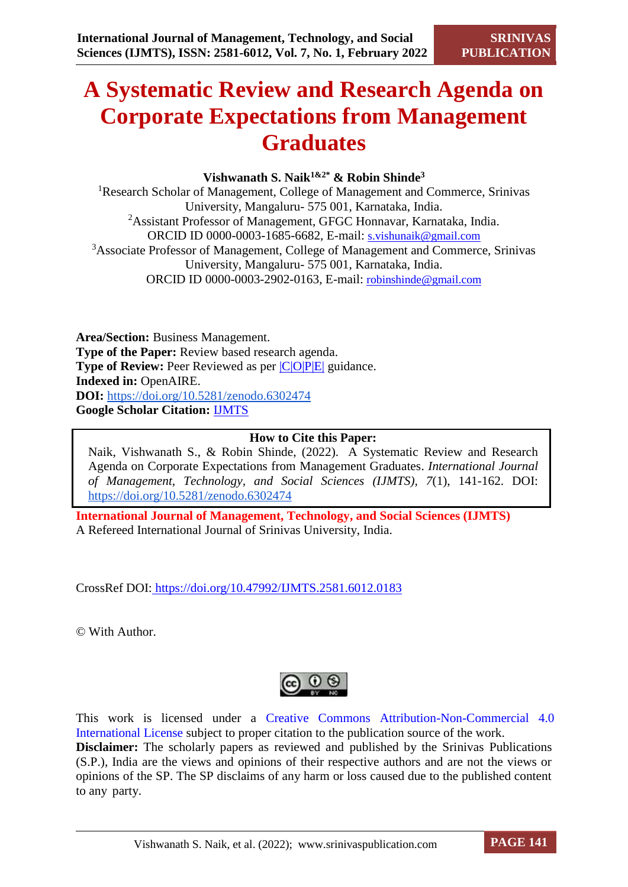# **A Systematic Review and Research Agenda on Corporate Expectations from Management Graduates**

# **Vishwanath S. Naik1&2\* & Robin Shinde<sup>3</sup>**

<sup>1</sup>Research Scholar of Management, College of Management and Commerce, Srinivas University, Mangaluru- 575 001, Karnataka, India. <sup>2</sup>Assistant Professor of Management, GFGC Honnavar, Karnataka, India. ORCID ID 0000-0003-1685-6682, E-mail: s.vishunaik@gmail.com <sup>3</sup>Associate Professor of Management, College of Management and Commerce, Srinivas University, Mangaluru- 575 001, Karnataka, India. ORCID ID 0000-0003-2902-0163, E-mail: [robinshinde@gmail.com](mailto:robinshinde@gmail.com)

**Area/Section:** Business Management. **Type of the Paper:** Review based research agenda. **Type of Review:** Peer Reviewed as per  $|C|O||P|E|$  guidance. **Indexed in:** OpenAIRE. **DOI:** <https://doi.org/10.5281/zenodo.6302474> **Google Scholar Citation:** [IJMTS](https://scholar.google.com/citations?user=bphF0BQAAAAJ)

# **How to Cite this Paper:**

Naik, Vishwanath S., & Robin Shinde, (2022). A Systematic Review and Research Agenda on Corporate Expectations from Management Graduates. *International Journal of Management, Technology, and Social Sciences (IJMTS), 7*(1), 141-162. DOI: <https://doi.org/10.5281/zenodo.6302474>

**International Journal of Management, Technology, and Social Sciences (IJMTS)** A Refereed International Journal of Srinivas University, India.

CrossRef DOI: [https://doi.org/10.47992/IJMTS.2581.6012.0183](https://search.crossref.org/?q=10.47992%2FIJMTS.2581.6012.0183&from_ui=yes)

© With Author.

This work is licensed under a Creative Commons Attribution-Non-Commercial 4.0 International License subject to proper citation to the publication source of the work. **Disclaimer:** The scholarly papers as reviewed and published by the Srinivas Publications (S.P.), India are the views and opinions of their respective authors and are not the views or opinions of the SP. The SP disclaims of any harm or loss caused due to the published content to any party.

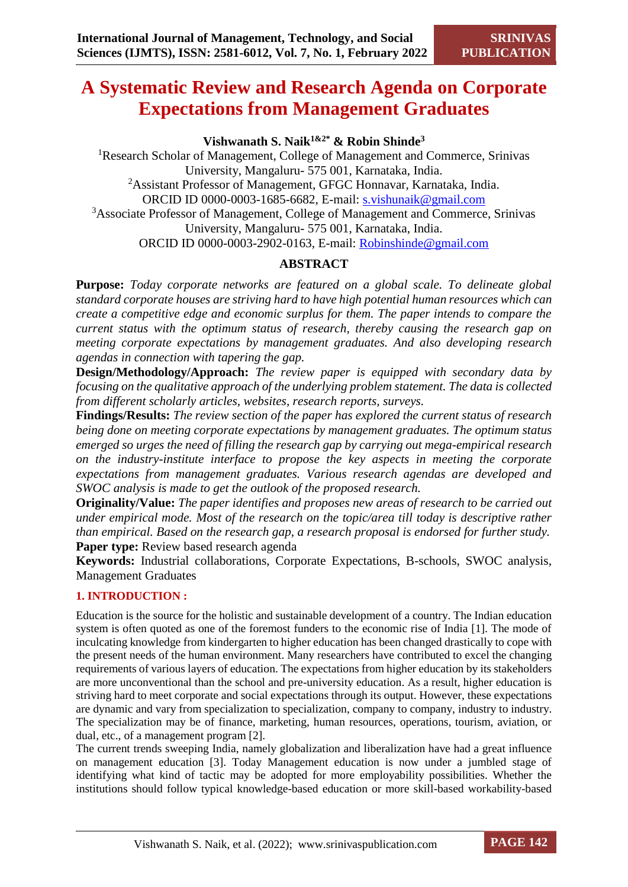# **A Systematic Review and Research Agenda on Corporate Expectations from Management Graduates**

**Vishwanath S. Naik1&2\* & Robin Shinde<sup>3</sup>**

<sup>1</sup>Research Scholar of Management, College of Management and Commerce, Srinivas University, Mangaluru- 575 001, Karnataka, India. <sup>2</sup>Assistant Professor of Management, GFGC Honnavar, Karnataka, India. ORCID ID 0000-0003-1685-6682, E-mail: s.vishunaik@gmail.com <sup>3</sup>Associate Professor of Management, College of Management and Commerce, Srinivas University, Mangaluru- 575 001, Karnataka, India. ORCID ID 0000-0003-2902-0163, E-mail: [Robinshinde@gmail.com](mailto:Robinshinde@gmail.com)

# **ABSTRACT**

**Purpose:** *Today corporate networks are featured on a global scale. To delineate global standard corporate houses are striving hard to have high potential human resources which can create a competitive edge and economic surplus for them. The paper intends to compare the current status with the optimum status of research, thereby causing the research gap on meeting corporate expectations by management graduates. And also developing research agendas in connection with tapering the gap.*

**Design/Methodology/Approach:** *The review paper is equipped with secondary data by focusing on the qualitative approach of the underlying problem statement. The data is collected from different scholarly articles, websites, research reports, surveys.* 

**Findings/Results:** *The review section of the paper has explored the current status of research being done on meeting corporate expectations by management graduates. The optimum status emerged so urges the need of filling the research gap by carrying out mega-empirical research on the industry-institute interface to propose the key aspects in meeting the corporate expectations from management graduates. Various research agendas are developed and SWOC analysis is made to get the outlook of the proposed research.*

**Originality/Value:** *The paper identifies and proposes new areas of research to be carried out under empirical mode. Most of the research on the topic/area till today is descriptive rather than empirical. Based on the research gap, a research proposal is endorsed for further study.* **Paper type:** Review based research agenda

**Keywords:** Industrial collaborations, Corporate Expectations, B-schools, SWOC analysis, Management Graduates

# **1. INTRODUCTION :**

Education is the source for the holistic and sustainable development of a country. The Indian education system is often quoted as one of the foremost funders to the economic rise of India [1]. The mode of inculcating knowledge from kindergarten to higher education has been changed drastically to cope with the present needs of the human environment. Many researchers have contributed to excel the changing requirements of various layers of education. The expectations from higher education by its stakeholders are more unconventional than the school and pre-university education. As a result, higher education is striving hard to meet corporate and social expectations through its output. However, these expectations are dynamic and vary from specialization to specialization, company to company, industry to industry. The specialization may be of finance, marketing, human resources, operations, tourism, aviation, or dual, etc., of a management program [2].

The current trends sweeping India, namely globalization and liberalization have had a great influence on management education [3]. Today Management education is now under a jumbled stage of identifying what kind of tactic may be adopted for more employability possibilities. Whether the institutions should follow typical knowledge-based education or more skill-based workability-based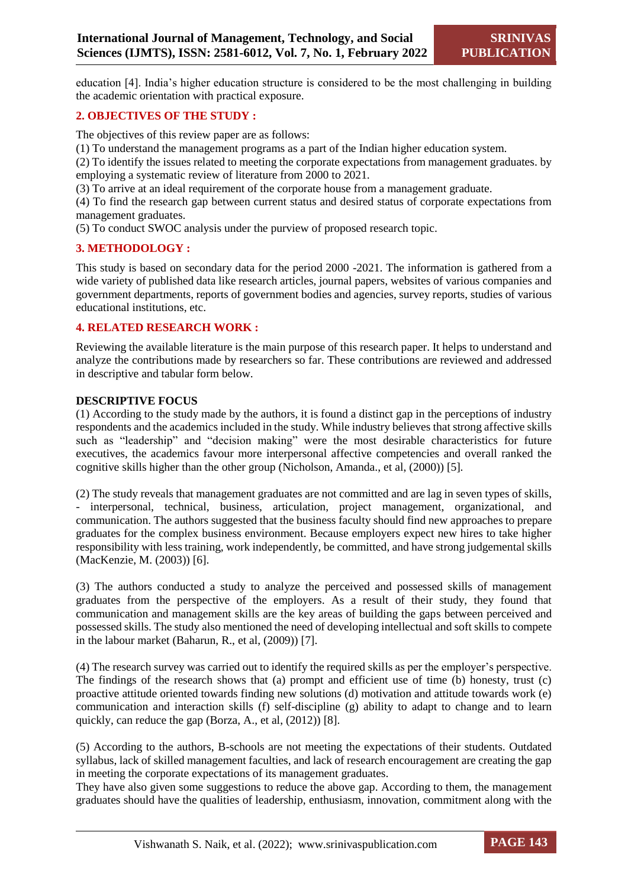education [4]. India's higher education structure is considered to be the most challenging in building the academic orientation with practical exposure.

#### **2. OBJECTIVES OF THE STUDY :**

The objectives of this review paper are as follows:

(1) To understand the management programs as a part of the Indian higher education system.

(2) To identify the issues related to meeting the corporate expectations from management graduates. by employing a systematic review of literature from 2000 to 2021.

(3) To arrive at an ideal requirement of the corporate house from a management graduate.

(4) To find the research gap between current status and desired status of corporate expectations from management graduates.

(5) To conduct SWOC analysis under the purview of proposed research topic.

#### **3. METHODOLOGY :**

This study is based on secondary data for the period 2000 -2021. The information is gathered from a wide variety of published data like research articles, journal papers, websites of various companies and government departments, reports of government bodies and agencies, survey reports, studies of various educational institutions, etc.

#### **4. RELATED RESEARCH WORK :**

Reviewing the available literature is the main purpose of this research paper. It helps to understand and analyze the contributions made by researchers so far. These contributions are reviewed and addressed in descriptive and tabular form below.

#### **DESCRIPTIVE FOCUS**

(1) According to the study made by the authors, it is found a distinct gap in the perceptions of industry respondents and the academics included in the study. While industry believes that strong affective skills such as "leadership" and "decision making" were the most desirable characteristics for future executives, the academics favour more interpersonal affective competencies and overall ranked the cognitive skills higher than the other group (Nicholson, Amanda., et al, (2000)) [5].

(2) The study reveals that management graduates are not committed and are lag in seven types of skills, - interpersonal, technical, business, articulation, project management, organizational, and communication. The authors suggested that the business faculty should find new approaches to prepare graduates for the complex business environment. Because employers expect new hires to take higher responsibility with less training, work independently, be committed, and have strong judgemental skills (MacKenzie, M. (2003)) [6].

(3) The authors conducted a study to analyze the perceived and possessed skills of management graduates from the perspective of the employers. As a result of their study, they found that communication and management skills are the key areas of building the gaps between perceived and possessed skills. The study also mentioned the need of developing intellectual and soft skills to compete in the labour market (Baharun, R., et al, (2009)) [7].

(4) The research survey was carried out to identify the required skills as per the employer's perspective. The findings of the research shows that (a) prompt and efficient use of time (b) honesty, trust (c) proactive attitude oriented towards finding new solutions (d) motivation and attitude towards work (e) communication and interaction skills (f) self-discipline (g) ability to adapt to change and to learn quickly, can reduce the gap (Borza, A., et al,  $(2012)$ ) [8].

(5) According to the authors, B-schools are not meeting the expectations of their students. Outdated syllabus, lack of skilled management faculties, and lack of research encouragement are creating the gap in meeting the corporate expectations of its management graduates.

They have also given some suggestions to reduce the above gap. According to them, the management graduates should have the qualities of leadership, enthusiasm, innovation, commitment along with the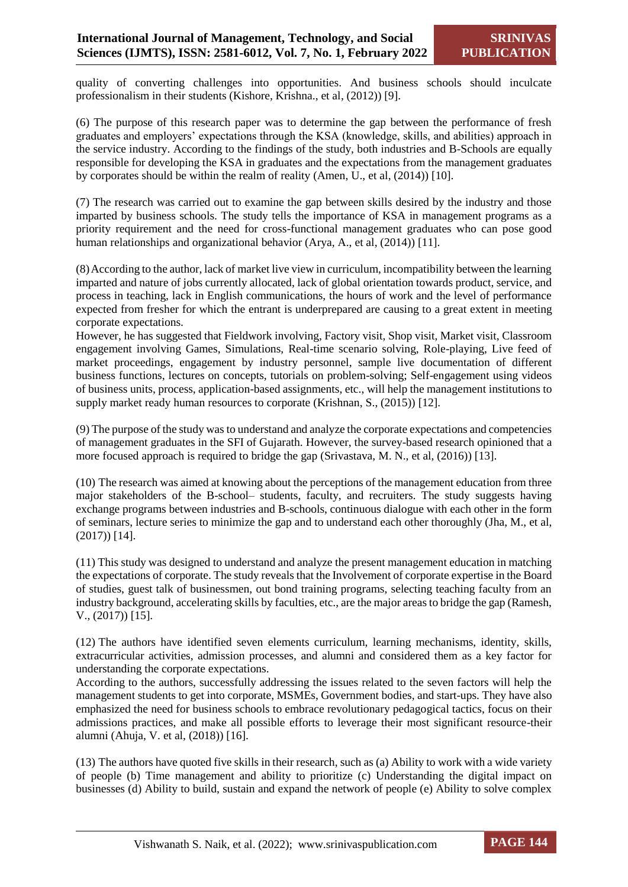quality of converting challenges into opportunities. And business schools should inculcate professionalism in their students (Kishore, Krishna., et al, (2012)) [9].

(6) The purpose of this research paper was to determine the gap between the performance of fresh graduates and employers' expectations through the KSA (knowledge, skills, and abilities) approach in the service industry. According to the findings of the study, both industries and B-Schools are equally responsible for developing the KSA in graduates and the expectations from the management graduates by corporates should be within the realm of reality (Amen, U., et al, (2014)) [10].

(7) The research was carried out to examine the gap between skills desired by the industry and those imparted by business schools. The study tells the importance of KSA in management programs as a priority requirement and the need for cross-functional management graduates who can pose good human relationships and organizational behavior (Arya, A., et al, (2014)) [11].

(8)According to the author, lack of market live view in curriculum, incompatibility between the learning imparted and nature of jobs currently allocated, lack of global orientation towards product, service, and process in teaching, lack in English communications, the hours of work and the level of performance expected from fresher for which the entrant is underprepared are causing to a great extent in meeting corporate expectations.

However, he has suggested that Fieldwork involving, Factory visit, Shop visit, Market visit, Classroom engagement involving Games, Simulations, Real-time scenario solving, Role-playing, Live feed of market proceedings, engagement by industry personnel, sample live documentation of different business functions, lectures on concepts, tutorials on problem-solving; Self-engagement using videos of business units, process, application-based assignments, etc., will help the management institutions to supply market ready human resources to corporate (Krishnan, S., (2015)) [12].

(9) The purpose of the study was to understand and analyze the corporate expectations and competencies of management graduates in the SFI of Gujarath. However, the survey-based research opinioned that a more focused approach is required to bridge the gap (Srivastava, M. N., et al, (2016)) [13].

(10) The research was aimed at knowing about the perceptions of the management education from three major stakeholders of the B-school– students, faculty, and recruiters. The study suggests having exchange programs between industries and B-schools, continuous dialogue with each other in the form of seminars, lecture series to minimize the gap and to understand each other thoroughly (Jha, M., et al, (2017)) [14].

(11) This study was designed to understand and analyze the present management education in matching the expectations of corporate. The study reveals that the Involvement of corporate expertise in the Board of studies, guest talk of businessmen, out bond training programs, selecting teaching faculty from an industry background, accelerating skills by faculties, etc., are the major areas to bridge the gap (Ramesh, V., (2017)) [15].

(12) The authors have identified seven elements curriculum, learning mechanisms, identity, skills, extracurricular activities, admission processes, and alumni and considered them as a key factor for understanding the corporate expectations.

According to the authors, successfully addressing the issues related to the seven factors will help the management students to get into corporate, MSMEs, Government bodies, and start-ups. They have also emphasized the need for business schools to embrace revolutionary pedagogical tactics, focus on their admissions practices, and make all possible efforts to leverage their most significant resource-their alumni (Ahuja, V. et al, (2018)) [16].

(13) The authors have quoted five skills in their research, such as (a) Ability to work with a wide variety of people (b) Time management and ability to prioritize (c) Understanding the digital impact on businesses (d) Ability to build, sustain and expand the network of people (e) Ability to solve complex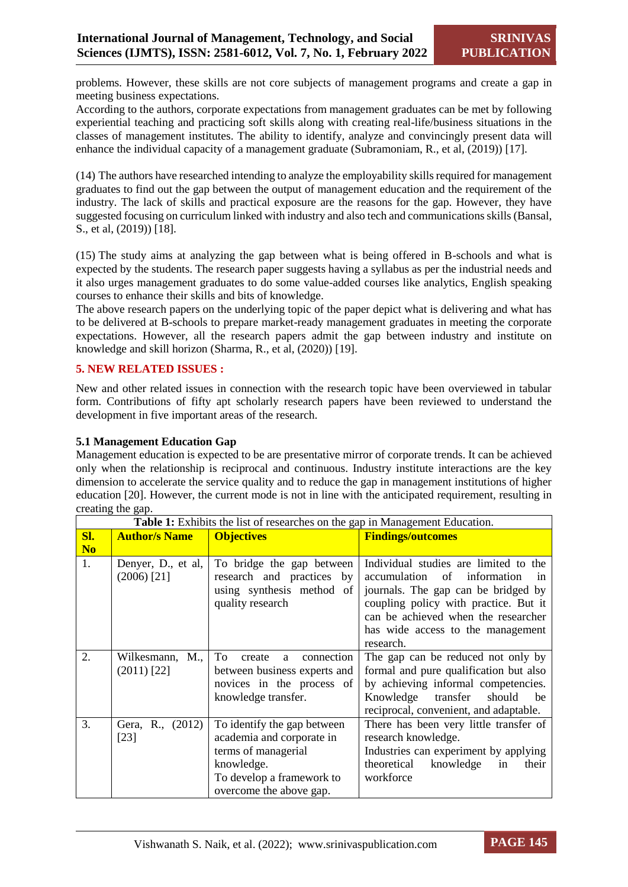problems. However, these skills are not core subjects of management programs and create a gap in meeting business expectations.

According to the authors, corporate expectations from management graduates can be met by following experiential teaching and practicing soft skills along with creating real-life/business situations in the classes of management institutes. The ability to identify, analyze and convincingly present data will enhance the individual capacity of a management graduate (Subramoniam, R., et al, (2019)) [17].

(14) The authors have researched intending to analyze the employability skills required for management graduates to find out the gap between the output of management education and the requirement of the industry. The lack of skills and practical exposure are the reasons for the gap. However, they have suggested focusing on curriculum linked with industry and also tech and communications skills (Bansal, S., et al, (2019)) [18].

(15) The study aims at analyzing the gap between what is being offered in B-schools and what is expected by the students. The research paper suggests having a syllabus as per the industrial needs and it also urges management graduates to do some value-added courses like analytics, English speaking courses to enhance their skills and bits of knowledge.

The above research papers on the underlying topic of the paper depict what is delivering and what has to be delivered at B-schools to prepare market-ready management graduates in meeting the corporate expectations. However, all the research papers admit the gap between industry and institute on knowledge and skill horizon (Sharma, R., et al, (2020)) [19].

# **5. NEW RELATED ISSUES :**

New and other related issues in connection with the research topic have been overviewed in tabular form. Contributions of fifty apt scholarly research papers have been reviewed to understand the development in five important areas of the research.

#### **5.1 Management Education Gap**

Management education is expected to be are presentative mirror of corporate trends. It can be achieved only when the relationship is reciprocal and continuous. Industry institute interactions are the key dimension to accelerate the service quality and to reduce the gap in management institutions of higher education [20]. However, the current mode is not in line with the anticipated requirement, resulting in creating the gap.

|                |                      | <b>Table 1:</b> Exhibits the list of researches on the gap in Management Education. |                                        |
|----------------|----------------------|-------------------------------------------------------------------------------------|----------------------------------------|
| SI.            | <b>Author/s Name</b> | <b>Objectives</b>                                                                   | <b>Findings/outcomes</b>               |
| N <sub>0</sub> |                      |                                                                                     |                                        |
| 1.             | Denyer, D., et al,   | To bridge the gap between                                                           | Individual studies are limited to the  |
|                | $(2006)$ [21]        | research and practices by                                                           | accumulation of information<br>1n      |
|                |                      | using synthesis method of                                                           | journals. The gap can be bridged by    |
|                |                      | quality research                                                                    | coupling policy with practice. But it  |
|                |                      |                                                                                     | can be achieved when the researcher    |
|                |                      |                                                                                     | has wide access to the management      |
|                |                      |                                                                                     | research.                              |
| 2.             | Wilkesmann, M.,      | To<br>connection<br>create<br>a                                                     | The gap can be reduced not only by     |
|                | $(2011)$ [22]        | between business experts and                                                        | formal and pure qualification but also |
|                |                      | novices in the process of                                                           | by achieving informal competencies.    |
|                |                      | knowledge transfer.                                                                 | Knowledge transfer<br>should<br>be     |
|                |                      |                                                                                     | reciprocal, convenient, and adaptable. |
| 3.             | Gera, R., (2012)     | To identify the gap between                                                         | There has been very little transfer of |
|                | $[23]$               | academia and corporate in                                                           | research knowledge.                    |
|                |                      | terms of managerial                                                                 | Industries can experiment by applying  |
|                |                      | knowledge.                                                                          | theoretical knowledge<br>in<br>their   |
|                |                      | To develop a framework to                                                           | workforce                              |
|                |                      | overcome the above gap.                                                             |                                        |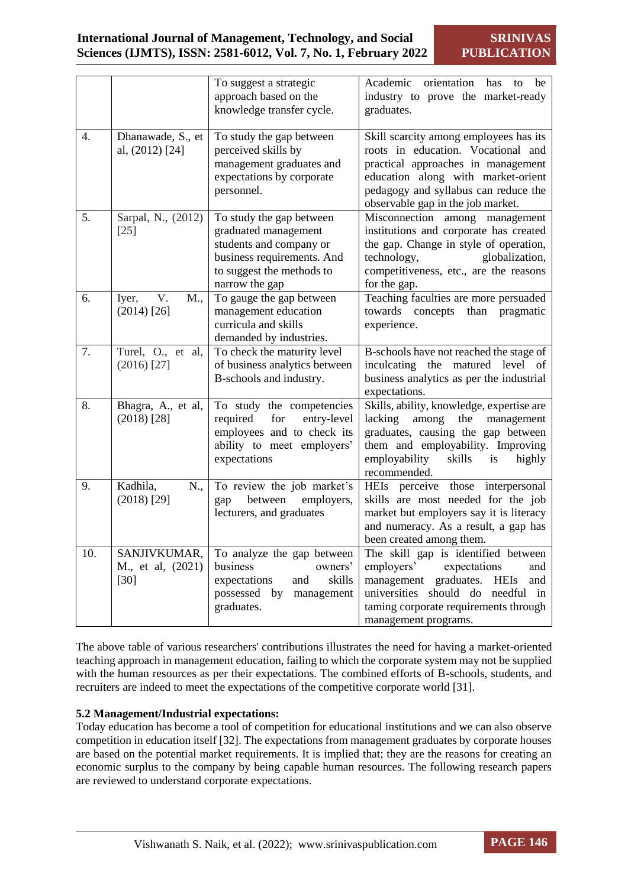|     |                                             | To suggest a strategic<br>approach based on the<br>knowledge transfer cycle.                                                                             | Academic<br>orientation<br>has<br>be<br>to<br>industry to prove the market-ready<br>graduates.                                                                                                                                        |
|-----|---------------------------------------------|----------------------------------------------------------------------------------------------------------------------------------------------------------|---------------------------------------------------------------------------------------------------------------------------------------------------------------------------------------------------------------------------------------|
| 4.  | Dhanawade, S., et<br>al, (2012) [24]        | To study the gap between<br>perceived skills by<br>management graduates and<br>expectations by corporate<br>personnel.                                   | Skill scarcity among employees has its<br>roots in education. Vocational and<br>practical approaches in management<br>education along with market-orient<br>pedagogy and syllabus can reduce the<br>observable gap in the job market. |
| 5.  | Sarpal, N., (2012)<br>$[25]$                | To study the gap between<br>graduated management<br>students and company or<br>business requirements. And<br>to suggest the methods to<br>narrow the gap | Misconnection among management<br>institutions and corporate has created<br>the gap. Change in style of operation,<br>technology,<br>globalization,<br>competitiveness, etc., are the reasons<br>for the gap.                         |
| 6.  | V.<br>Iyer,<br>M.,<br>$(2014)$ [26]         | To gauge the gap between<br>management education<br>curricula and skills<br>demanded by industries.                                                      | Teaching faculties are more persuaded<br>towards concepts<br>than<br>pragmatic<br>experience.                                                                                                                                         |
| 7.  | Turel, O., et al,<br>$(2016)$ [27]          | To check the maturity level<br>of business analytics between<br>B-schools and industry.                                                                  | B-schools have not reached the stage of<br>inculcating the matured level of<br>business analytics as per the industrial<br>expectations.                                                                                              |
| 8.  | Bhagra, A., et al,<br>$(2018)$ [28]         | To study the competencies<br>required<br>for<br>entry-level<br>employees and to check its<br>ability to meet employers'<br>expectations                  | Skills, ability, knowledge, expertise are<br>lacking<br>among<br>the<br>management<br>graduates, causing the gap between<br>them and employability. Improving<br>employability<br>skills<br>is<br>highly<br>recommended.              |
| 9.  | Kadhila,<br>N.,<br>$(2018)$ [29]            | To review the job market's<br>between<br>employers,<br>gap<br>lecturers, and graduates                                                                   | HEIs perceive those interpersonal<br>skills are most needed for the job<br>market but employers say it is literacy<br>and numeracy. As a result, a gap has<br>been created among them.                                                |
| 10. | SANJIVKUMAR,<br>M., et al, (2021)<br>$[30]$ | To analyze the gap between<br>business<br>owners'<br>skills<br>expectations<br>and<br>possessed by<br>management<br>graduates.                           | The skill gap is identified between<br>employers'<br>expectations<br>and<br>management graduates.<br><b>HEIs</b><br>and<br>universities should do needful in<br>taming corporate requirements through<br>management programs.         |

The above table of various researchers' contributions illustrates the need for having a market-oriented teaching approach in management education, failing to which the corporate system may not be supplied with the human resources as per their expectations. The combined efforts of B-schools, students, and recruiters are indeed to meet the expectations of the competitive corporate world [31].

# **5.2 Management/Industrial expectations:**

Today education has become a tool of competition for educational institutions and we can also observe competition in education itself [32]. The expectations from management graduates by corporate houses are based on the potential market requirements. It is implied that; they are the reasons for creating an economic surplus to the company by being capable human resources. The following research papers are reviewed to understand corporate expectations.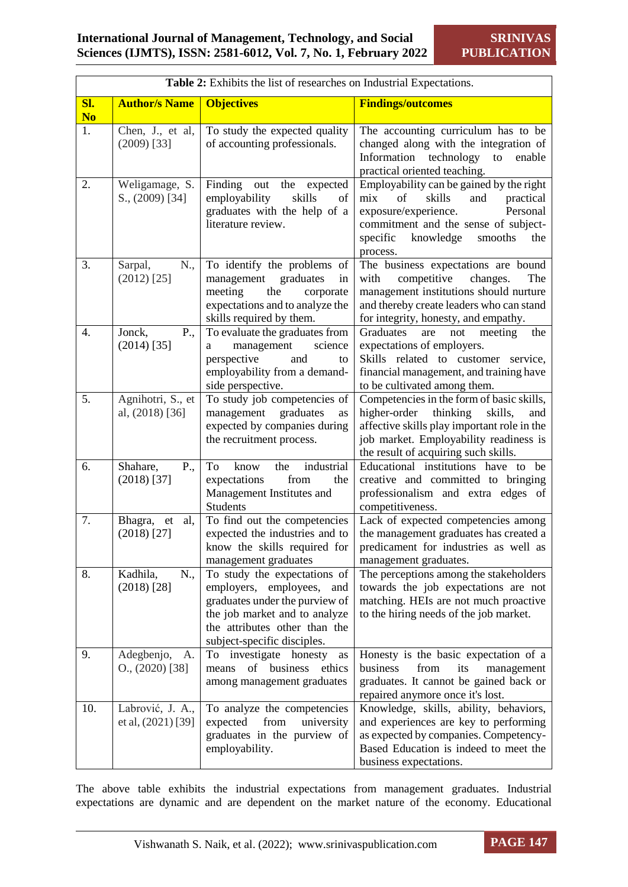| Table 2: Exhibits the list of researches on Industrial Expectations. |                                          |                                                                                                                                                                                              |                                                                                                                                                                                                                          |
|----------------------------------------------------------------------|------------------------------------------|----------------------------------------------------------------------------------------------------------------------------------------------------------------------------------------------|--------------------------------------------------------------------------------------------------------------------------------------------------------------------------------------------------------------------------|
| Sl.<br>N <sub>0</sub>                                                | <b>Author/s Name</b>                     | <b>Objectives</b>                                                                                                                                                                            | <b>Findings/outcomes</b>                                                                                                                                                                                                 |
| 1.                                                                   | Chen, J., et al,<br>$(2009)$ [33]        | To study the expected quality<br>of accounting professionals.                                                                                                                                | The accounting curriculum has to be<br>changed along with the integration of<br>Information technology<br>to<br>enable<br>practical oriented teaching.                                                                   |
| 2.                                                                   | Weligamage, S.<br>S., (2009) [34]        | Finding<br>out<br>the<br>expected<br>employability<br>skills<br>of<br>graduates with the help of a<br>literature review.                                                                     | Employability can be gained by the right<br>skills<br>mix<br>of<br>and<br>practical<br>exposure/experience.<br>Personal<br>commitment and the sense of subject-<br>specific<br>knowledge<br>smooths<br>the<br>process.   |
| 3.                                                                   | N.,<br>Sarpal,<br>$(2012)$ [25]          | To identify the problems of<br>management<br>graduates<br>in<br>meeting<br>the<br>corporate<br>expectations and to analyze the<br>skills required by them.                                   | The business expectations are bound<br>with<br>competitive<br>changes.<br>The<br>management institutions should nurture<br>and thereby create leaders who can stand<br>for integrity, honesty, and empathy.              |
| 4.                                                                   | Jonck,<br>P.,<br>$(2014)$ [35]           | To evaluate the graduates from<br>management<br>science<br>a<br>perspective<br>and<br>to<br>employability from a demand-<br>side perspective.                                                | Graduates<br>are<br>not<br>meeting<br>the<br>expectations of employers.<br>Skills related to customer service,<br>financial management, and training have<br>to be cultivated among them.                                |
| 5.                                                                   | Agnihotri, S., et<br>al, $(2018)$ [36]   | To study job competencies of<br>management<br>graduates<br>as<br>expected by companies during<br>the recruitment process.                                                                    | Competencies in the form of basic skills,<br>higher-order<br>thinking<br>skills,<br>and<br>affective skills play important role in the<br>job market. Employability readiness is<br>the result of acquiring such skills. |
| 6.                                                                   | Shahare,<br>P.,<br>$(2018)$ [37]         | To<br>know<br>the<br>industrial<br>from<br>expectations<br>the<br>Management Institutes and<br><b>Students</b>                                                                               | Educational institutions have to be<br>creative and committed to bringing<br>professionalism and extra edges of<br>competitiveness.                                                                                      |
| 7.                                                                   | Bhagra,<br>et<br>al,<br>$(2018)$ [27]    | To find out the competencies<br>expected the industries and to<br>know the skills required for<br>management graduates                                                                       | Lack of expected competencies among<br>the management graduates has created a<br>predicament for industries as well as<br>management graduates.                                                                          |
| 8.                                                                   | Kadhila,<br>N.,<br>$(2018)$ [28]         | To study the expectations of<br>employers, employees, and<br>graduates under the purview of<br>the job market and to analyze<br>the attributes other than the<br>subject-specific disciples. | The perceptions among the stakeholders<br>towards the job expectations are not<br>matching. HEIs are not much proactive<br>to the hiring needs of the job market.                                                        |
| 9.                                                                   | Adegbenjo,<br>A.<br>$O., (2020)$ [38]    | To investigate honesty<br>as<br>of business<br>ethics<br>means<br>among management graduates                                                                                                 | Honesty is the basic expectation of a<br>from<br>business<br>its<br>management<br>graduates. It cannot be gained back or<br>repaired anymore once it's lost.                                                             |
| 10.                                                                  | Labrović, J. A.,<br>et al, $(2021)$ [39] | To analyze the competencies<br>from<br>university<br>expected<br>graduates in the purview of<br>employability.                                                                               | Knowledge, skills, ability, behaviors,<br>and experiences are key to performing<br>as expected by companies. Competency-<br>Based Education is indeed to meet the<br>business expectations.                              |

The above table exhibits the industrial expectations from management graduates. Industrial expectations are dynamic and are dependent on the market nature of the economy. Educational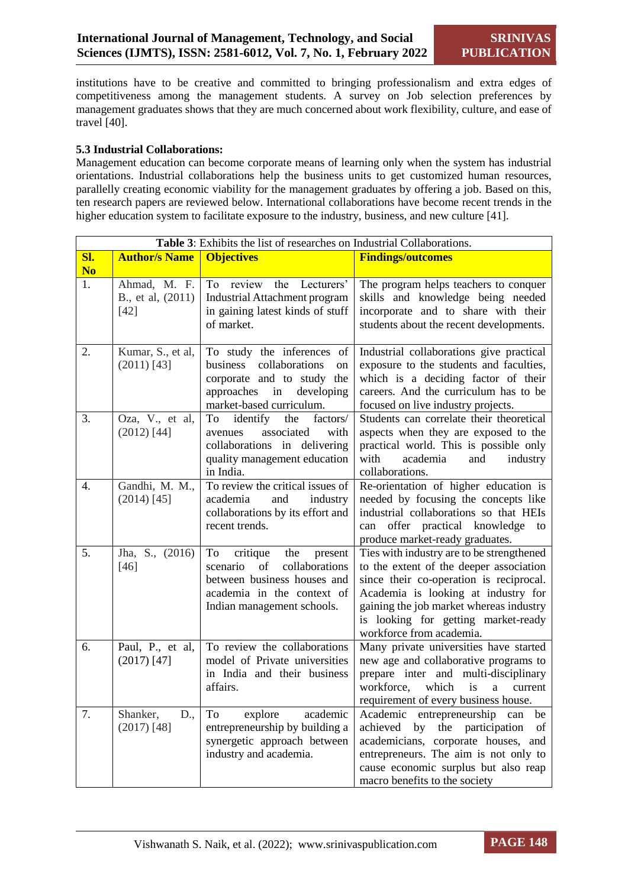institutions have to be creative and committed to bringing professionalism and extra edges of competitiveness among the management students. A survey on Job selection preferences by management graduates shows that they are much concerned about work flexibility, culture, and ease of travel [40].

#### **5.3 Industrial Collaborations:**

Management education can become corporate means of learning only when the system has industrial orientations. Industrial collaborations help the business units to get customized human resources, parallelly creating economic viability for the management graduates by offering a job. Based on this, ten research papers are reviewed below. International collaborations have become recent trends in the higher education system to facilitate exposure to the industry, business, and new culture [41].

|                | Table 3: Exhibits the list of researches on Industrial Collaborations. |                                                                                                                                                                 |                                                                                                                                                                                                                                                                                      |
|----------------|------------------------------------------------------------------------|-----------------------------------------------------------------------------------------------------------------------------------------------------------------|--------------------------------------------------------------------------------------------------------------------------------------------------------------------------------------------------------------------------------------------------------------------------------------|
| Sl.            | <b>Author/s Name</b>                                                   | <b>Objectives</b>                                                                                                                                               | <b>Findings/outcomes</b>                                                                                                                                                                                                                                                             |
| N <sub>0</sub> |                                                                        |                                                                                                                                                                 |                                                                                                                                                                                                                                                                                      |
| 1.             | Ahmad, M. F.<br>B., et al, (2011)<br>$[42]$                            | To review<br>the<br>Lecturers'<br><b>Industrial Attachment program</b><br>in gaining latest kinds of stuff<br>of market.                                        | The program helps teachers to conquer<br>skills and knowledge being needed<br>incorporate and to share with their<br>students about the recent developments.                                                                                                                         |
| 2.             | Kumar, S., et al,<br>$(2011)$ [43]                                     | To study the inferences of<br>business<br>collaborations<br>on<br>corporate and to study the<br>approaches<br>in<br>developing<br>market-based curriculum.      | Industrial collaborations give practical<br>exposure to the students and faculties,<br>which is a deciding factor of their<br>careers. And the curriculum has to be<br>focused on live industry projects.                                                                            |
| 3.             | Oza, V., et al,<br>$(2012)$ [44]                                       | identify<br>factors/<br>To<br>the<br>associated<br>with<br>avenues<br>collaborations in delivering<br>quality management education<br>in India.                 | Students can correlate their theoretical<br>aspects when they are exposed to the<br>practical world. This is possible only<br>with<br>academia<br>and<br>industry<br>collaborations.                                                                                                 |
| 4.             | Gandhi, M. M.,<br>$(2014)$ [45]                                        | To review the critical issues of<br>and<br>academia<br>industry<br>collaborations by its effort and<br>recent trends.                                           | Re-orientation of higher education is<br>needed by focusing the concepts like<br>industrial collaborations so that HEIs<br>offer practical knowledge<br>can<br>to<br>produce market-ready graduates.                                                                                 |
| 5.             | Jha, S., (2016)<br>$[46]$                                              | To<br>the<br>critique<br>present<br>collaborations<br>scenario<br>of<br>between business houses and<br>academia in the context of<br>Indian management schools. | Ties with industry are to be strengthened<br>to the extent of the deeper association<br>since their co-operation is reciprocal.<br>Academia is looking at industry for<br>gaining the job market whereas industry<br>is looking for getting market-ready<br>workforce from academia. |
| 6.             | Paul, P., et al,<br>$(2017)$ [47]                                      | To review the collaborations<br>model of Private universities<br>in India and their business<br>affairs.                                                        | Many private universities have started<br>new age and collaborative programs to<br>prepare inter and multi-disciplinary<br>which<br>workforce,<br>is<br>a<br>current<br>requirement of every business house.                                                                         |
| 7.             | Shanker,<br>D.,<br>$(2017)$ [48]                                       | To<br>explore<br>academic<br>entrepreneurship by building a<br>synergetic approach between<br>industry and academia.                                            | Academic entrepreneurship<br>be<br>can<br>the<br>achieved<br>by<br>participation<br>of<br>academicians, corporate houses, and<br>entrepreneurs. The aim is not only to<br>cause economic surplus but also reap<br>macro benefits to the society                                      |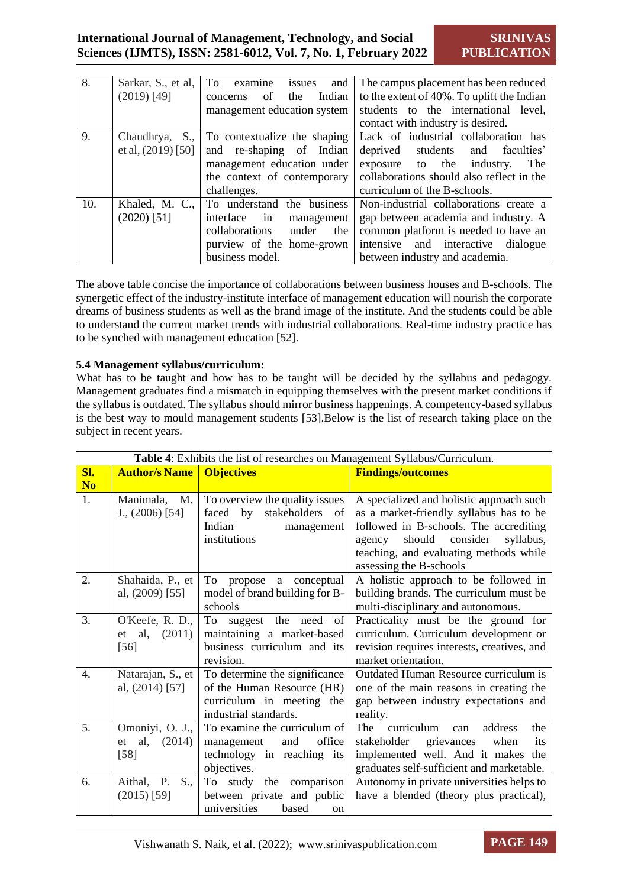| 8.  | Sarkar, S., et al,<br>$(2019)$ [49]    | To examine<br>and<br>issues<br>the<br>Indian<br>of<br>concerns<br>management education system                                                 | The campus placement has been reduced<br>to the extent of 40%. To uplift the Indian<br>students to the international level,<br>contact with industry is desired.                                   |
|-----|----------------------------------------|-----------------------------------------------------------------------------------------------------------------------------------------------|----------------------------------------------------------------------------------------------------------------------------------------------------------------------------------------------------|
| 9.  | Chaudhrya, S.,<br>et al, $(2019)$ [50] | To contextualize the shaping<br>and re-shaping of Indian<br>management education under<br>the context of contemporary<br>challenges.          | Lack of industrial collaboration has<br>deprived<br>students and<br>faculties'<br>exposure to the<br>industry.<br>The<br>collaborations should also reflect in the<br>curriculum of the B-schools. |
| 10. | Khaled, M. C.,<br>$(2020)$ [51]        | To understand the business<br>interface<br>in<br>management<br>collaborations<br>under<br>the<br>purview of the home-grown<br>business model. | Non-industrial collaborations create a<br>gap between academia and industry. A<br>common platform is needed to have an<br>intensive and interactive dialogue<br>between industry and academia.     |

The above table concise the importance of collaborations between business houses and B-schools. The synergetic effect of the industry-institute interface of management education will nourish the corporate dreams of business students as well as the brand image of the institute. And the students could be able to understand the current market trends with industrial collaborations. Real-time industry practice has to be synched with management education [52].

#### **5.4 Management syllabus/curriculum:**

What has to be taught and how has to be taught will be decided by the syllabus and pedagogy. Management graduates find a mismatch in equipping themselves with the present market conditions if the syllabus is outdated. The syllabus should mirror business happenings. A competency-based syllabus is the best way to mould management students [53].Below is the list of research taking place on the subject in recent years.

|                  |                      | Table 4: Exhibits the list of researches on Management Syllabus/Curriculum. |                                                                    |
|------------------|----------------------|-----------------------------------------------------------------------------|--------------------------------------------------------------------|
| Sl.              | <b>Author/s Name</b> | <b>Objectives</b>                                                           | <b>Findings/outcomes</b>                                           |
| N <sub>o</sub>   |                      |                                                                             |                                                                    |
| 1.               | Manimala,<br>M.      | To overview the quality issues                                              | A specialized and holistic approach such                           |
|                  | J., (2006) [54]      | faced by<br>stakeholders of                                                 | as a market-friendly syllabus has to be                            |
|                  |                      | Indian<br>management                                                        | followed in B-schools. The accrediting                             |
|                  |                      | institutions                                                                | consider<br>should<br>syllabus,<br>agency                          |
|                  |                      |                                                                             | teaching, and evaluating methods while                             |
|                  |                      |                                                                             | assessing the B-schools                                            |
| 2.               | Shahaida, P., et     | To<br>a conceptual<br>propose                                               | A holistic approach to be followed in                              |
|                  | al, $(2009)$ [55]    | model of brand building for B-                                              | building brands. The curriculum must be                            |
|                  |                      | schools                                                                     | multi-disciplinary and autonomous.                                 |
| 3.               | O'Keefe, R. D.,      | To suggest the need<br>of                                                   | Practicality must be the ground for                                |
|                  | al,<br>(2011)<br>et  | maintaining a market-based<br>business curriculum and its                   | curriculum. Curriculum development or                              |
|                  | [56]                 | revision.                                                                   | revision requires interests, creatives, and<br>market orientation. |
| $\overline{4}$ . | Natarajan, S., et    | To determine the significance                                               | Outdated Human Resource curriculum is                              |
|                  | al, $(2014)$ [57]    | of the Human Resource (HR)                                                  | one of the main reasons in creating the                            |
|                  |                      | curriculum in meeting the                                                   | gap between industry expectations and                              |
|                  |                      | industrial standards.                                                       | reality.                                                           |
| 5.               | Omoniyi, O. J.,      | To examine the curriculum of                                                | curriculum<br>The<br>address<br>the<br>can                         |
|                  | al, $(2014)$<br>et   | office<br>management<br>and                                                 | stakeholder<br>grievances<br>when<br>its                           |
|                  | $[58]$               | technology in reaching its                                                  | implemented well. And it makes the                                 |
|                  |                      | objectives.                                                                 | graduates self-sufficient and marketable.                          |
| 6.               | S.,<br>Aithal, P.    | To study the comparison                                                     | Autonomy in private universities helps to                          |
|                  | $(2015)$ [59]        | between private and public                                                  | have a blended (theory plus practical),                            |
|                  |                      | universities<br>based<br><sub>on</sub>                                      |                                                                    |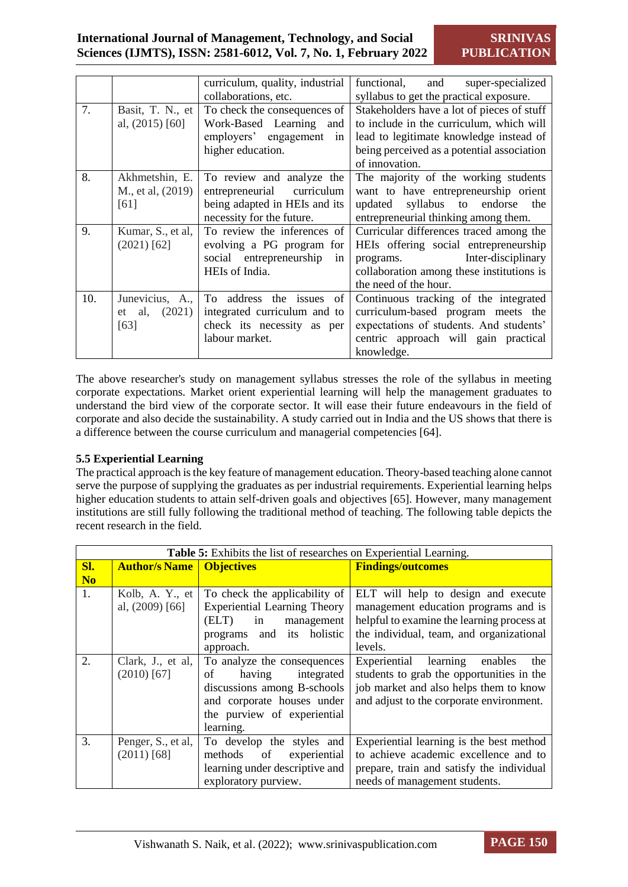|     |                     | curriculum, quality, industrial | functional,<br>and<br>super-specialized    |
|-----|---------------------|---------------------------------|--------------------------------------------|
|     |                     | collaborations, etc.            | syllabus to get the practical exposure.    |
| 7.  | Basit, T. N., et    | To check the consequences of    | Stakeholders have a lot of pieces of stuff |
|     | al, $(2015)$ [60]   | Work-Based Learning<br>and      | to include in the curriculum, which will   |
|     |                     | employers' engagement<br>in     | lead to legitimate knowledge instead of    |
|     |                     | higher education.               | being perceived as a potential association |
|     |                     |                                 | of innovation.                             |
| 8.  | Akhmetshin, E.      | To review and analyze the       | The majority of the working students       |
|     | M., et al, (2019)   | entrepreneurial<br>curriculum   | want to have entrepreneurship orient       |
|     | [61]                | being adapted in HEIs and its   | syllabus to endorse<br>updated<br>the      |
|     |                     | necessity for the future.       | entrepreneurial thinking among them.       |
| 9.  | Kumar, S., et al,   | To review the inferences of     | Curricular differences traced among the    |
|     | $(2021)$ [62]       | evolving a PG program for       | HEIs offering social entrepreneurship      |
|     |                     | social entrepreneurship<br>in   | Inter-disciplinary<br>programs.            |
|     |                     | HEIs of India.                  | collaboration among these institutions is  |
|     |                     |                                 | the need of the hour.                      |
| 10. | Junevicius, A.,     | To address the issues<br>of     | Continuous tracking of the integrated      |
|     | (2021)<br>al,<br>et | integrated curriculum and to    | curriculum-based program meets the         |
|     | [63]                | check its necessity as per      | expectations of students. And students'    |
|     |                     | labour market.                  | centric approach will gain practical       |
|     |                     |                                 | knowledge.                                 |

The above researcher's study on management syllabus stresses the role of the syllabus in meeting corporate expectations. Market orient experiential learning will help the management graduates to understand the bird view of the corporate sector. It will ease their future endeavours in the field of corporate and also decide the sustainability. A study carried out in India and the US shows that there is a difference between the course curriculum and managerial competencies [64].

# **5.5 Experiential Learning**

The practical approach is the key feature of management education. Theory-based teaching alone cannot serve the purpose of supplying the graduates as per industrial requirements. Experiential learning helps higher education students to attain self-driven goals and objectives [65]. However, many management institutions are still fully following the traditional method of teaching. The following table depicts the recent research in the field.

|                |                      | Table 5: Exhibits the list of researches on Experiential Learning. |                                            |
|----------------|----------------------|--------------------------------------------------------------------|--------------------------------------------|
| Sl.            | <b>Author/s Name</b> | <b>Objectives</b>                                                  | <b>Findings/outcomes</b>                   |
| N <sub>o</sub> |                      |                                                                    |                                            |
| 1.             | Kolb, A. Y., et      | To check the applicability of                                      | ELT will help to design and execute        |
|                | al, $(2009)$ [66]    | <b>Experiential Learning Theory</b>                                | management education programs and is       |
|                |                      | (ELT)<br>in<br>management                                          | helpful to examine the learning process at |
|                |                      | and its holistic<br>programs                                       | the individual, team, and organizational   |
|                |                      | approach.                                                          | levels.                                    |
| 2.             | Clark, J., et al,    | To analyze the consequences                                        | Experiential learning<br>enables<br>the    |
|                | $(2010)$ [67]        | of<br>integrated<br>having                                         | students to grab the opportunities in the  |
|                |                      | discussions among B-schools                                        | job market and also helps them to know     |
|                |                      | and corporate houses under                                         | and adjust to the corporate environment.   |
|                |                      | the purview of experiential                                        |                                            |
|                |                      | learning.                                                          |                                            |
| 3.             | Penger, S., et al,   | To develop the styles and                                          | Experiential learning is the best method   |
|                | $(2011)$ [68]        | methods<br>of<br>experiential                                      | to achieve academic excellence and to      |
|                |                      | learning under descriptive and                                     | prepare, train and satisfy the individual  |
|                |                      | exploratory purview.                                               | needs of management students.              |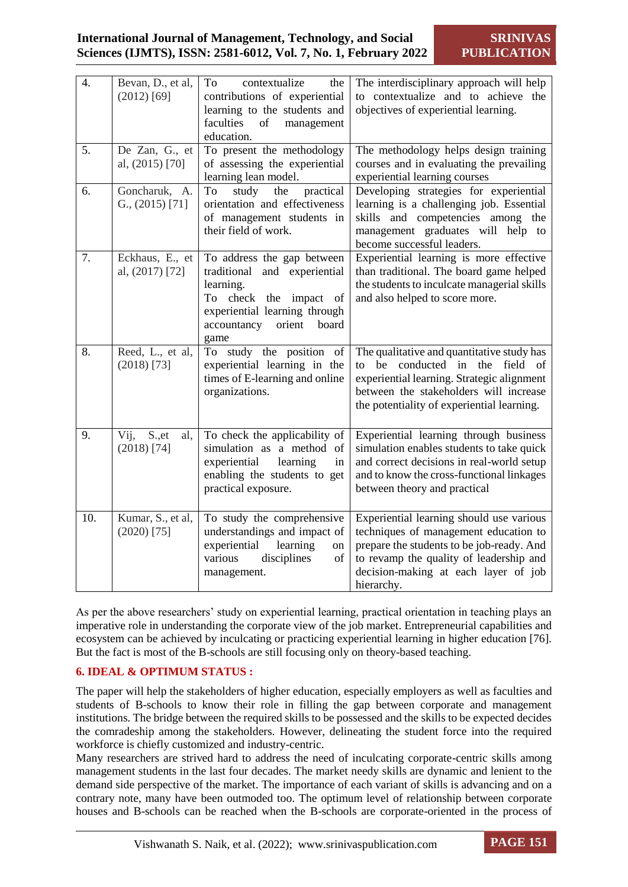# **International Journal of Management, Technology, and Social Sciences (IJMTS), ISSN: 2581-6012, Vol. 7, No. 1, February 2022**

| 4.  | Bevan, D., et al,<br>$(2012)$ [69]         | To<br>contextualize<br>the<br>contributions of experiential<br>learning to the students and<br>faculties<br>of<br>management<br>education.                                   | The interdisciplinary approach will help<br>to contextualize and to achieve the<br>objectives of experiential learning.                                                                                                         |
|-----|--------------------------------------------|------------------------------------------------------------------------------------------------------------------------------------------------------------------------------|---------------------------------------------------------------------------------------------------------------------------------------------------------------------------------------------------------------------------------|
| 5.  | De Zan, G., et<br>al, (2015) [70]          | To present the methodology<br>of assessing the experiential<br>learning lean model.                                                                                          | The methodology helps design training<br>courses and in evaluating the prevailing<br>experiential learning courses                                                                                                              |
| 6.  | Goncharuk, A.<br>$G_{\cdot}$ , (2015) [71] | study<br>practical<br>To<br>the<br>orientation and effectiveness<br>of management students in<br>their field of work.                                                        | Developing strategies for experiential<br>learning is a challenging job. Essential<br>skills and competencies among the<br>management graduates will help to<br>become successful leaders.                                      |
| 7.  | Eckhaus, E., et<br>al, (2017) [72]         | To address the gap between<br>traditional and experiential<br>learning.<br>To check the impact of<br>experiential learning through<br>accountancy<br>orient<br>board<br>game | Experiential learning is more effective<br>than traditional. The board game helped<br>the students to inculcate managerial skills<br>and also helped to score more.                                                             |
| 8.  | Reed, L., et al,<br>$(2018)$ [73]          | To study the position<br>of<br>experiential learning in the<br>times of E-learning and online<br>organizations.                                                              | The qualitative and quantitative study has<br>conducted in<br>be<br>the<br>field of<br>to<br>experiential learning. Strategic alignment<br>between the stakeholders will increase<br>the potentiality of experiential learning. |
| 9.  | S., et<br>Vij,<br>al,<br>$(2018)$ [74]     | To check the applicability of<br>simulation as a method of<br>experiential<br>learning<br>in<br>enabling the students to get<br>practical exposure.                          | Experiential learning through business<br>simulation enables students to take quick<br>and correct decisions in real-world setup<br>and to know the cross-functional linkages<br>between theory and practical                   |
| 10. | Kumar, S., et al,<br>$(2020)$ [75]         | To study the comprehensive<br>understandings and impact of<br>experiential<br>learning<br>on<br>various<br>disciplines<br>of<br>management.                                  | Experiential learning should use various<br>techniques of management education to<br>prepare the students to be job-ready. And<br>to revamp the quality of leadership and<br>decision-making at each layer of job<br>hierarchy. |

As per the above researchers' study on experiential learning, practical orientation in teaching plays an imperative role in understanding the corporate view of the job market. Entrepreneurial capabilities and ecosystem can be achieved by inculcating or practicing experiential learning in higher education [76]. But the fact is most of the B-schools are still focusing only on theory-based teaching.

# **6. IDEAL & OPTIMUM STATUS :**

The paper will help the stakeholders of higher education, especially employers as well as faculties and students of B-schools to know their role in filling the gap between corporate and management institutions. The bridge between the required skills to be possessed and the skills to be expected decides the comradeship among the stakeholders. However, delineating the student force into the required workforce is chiefly customized and industry-centric.

Many researchers are strived hard to address the need of inculcating corporate-centric skills among management students in the last four decades. The market needy skills are dynamic and lenient to the demand side perspective of the market. The importance of each variant of skills is advancing and on a contrary note, many have been outmoded too. The optimum level of relationship between corporate houses and B-schools can be reached when the B-schools are corporate-oriented in the process of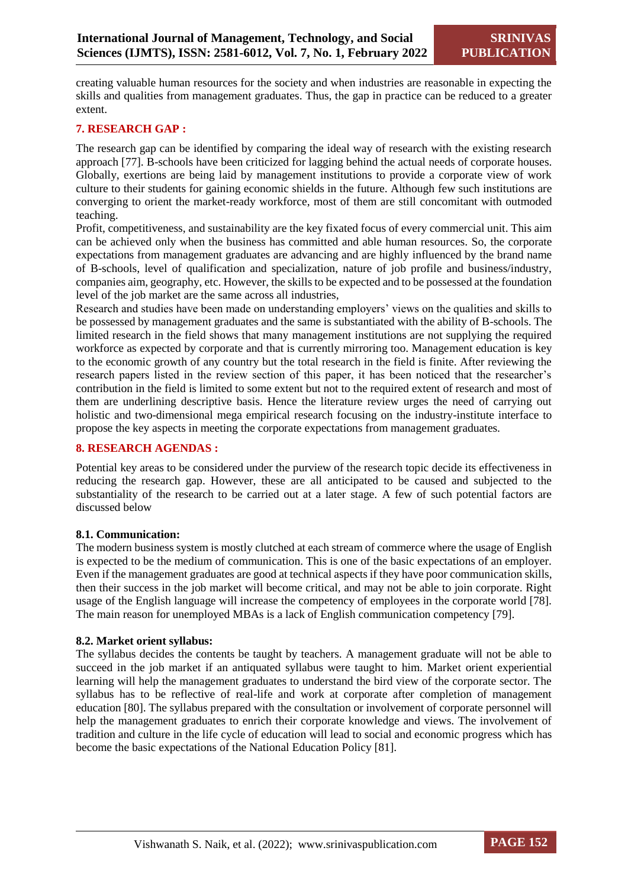creating valuable human resources for the society and when industries are reasonable in expecting the skills and qualities from management graduates. Thus, the gap in practice can be reduced to a greater extent.

# **7. RESEARCH GAP :**

The research gap can be identified by comparing the ideal way of research with the existing research approach [77]. B-schools have been criticized for lagging behind the actual needs of corporate houses. Globally, exertions are being laid by management institutions to provide a corporate view of work culture to their students for gaining economic shields in the future. Although few such institutions are converging to orient the market-ready workforce, most of them are still concomitant with outmoded teaching.

Profit, competitiveness, and sustainability are the key fixated focus of every commercial unit. This aim can be achieved only when the business has committed and able human resources. So, the corporate expectations from management graduates are advancing and are highly influenced by the brand name of B-schools, level of qualification and specialization, nature of job profile and business/industry, companies aim, geography, etc. However, the skills to be expected and to be possessed at the foundation level of the job market are the same across all industries,

Research and studies have been made on understanding employers' views on the qualities and skills to be possessed by management graduates and the same is substantiated with the ability of B-schools. The limited research in the field shows that many management institutions are not supplying the required workforce as expected by corporate and that is currently mirroring too. Management education is key to the economic growth of any country but the total research in the field is finite. After reviewing the research papers listed in the review section of this paper, it has been noticed that the researcher's contribution in the field is limited to some extent but not to the required extent of research and most of them are underlining descriptive basis. Hence the literature review urges the need of carrying out holistic and two-dimensional mega empirical research focusing on the industry-institute interface to propose the key aspects in meeting the corporate expectations from management graduates.

#### **8. RESEARCH AGENDAS :**

Potential key areas to be considered under the purview of the research topic decide its effectiveness in reducing the research gap. However, these are all anticipated to be caused and subjected to the substantiality of the research to be carried out at a later stage. A few of such potential factors are discussed below

#### **8.1. Communication:**

The modern business system is mostly clutched at each stream of commerce where the usage of English is expected to be the medium of communication. This is one of the basic expectations of an employer. Even if the management graduates are good at technical aspects if they have poor communication skills, then their success in the job market will become critical, and may not be able to join corporate. Right usage of the English language will increase the competency of employees in the corporate world [78]. The main reason for unemployed MBAs is a lack of English communication competency [79].

#### **8.2. Market orient syllabus:**

The syllabus decides the contents be taught by teachers. A management graduate will not be able to succeed in the job market if an antiquated syllabus were taught to him. Market orient experiential learning will help the management graduates to understand the bird view of the corporate sector. The syllabus has to be reflective of real-life and work at corporate after completion of management education [80]. The syllabus prepared with the consultation or involvement of corporate personnel will help the management graduates to enrich their corporate knowledge and views. The involvement of tradition and culture in the life cycle of education will lead to social and economic progress which has become the basic expectations of the National Education Policy [81].

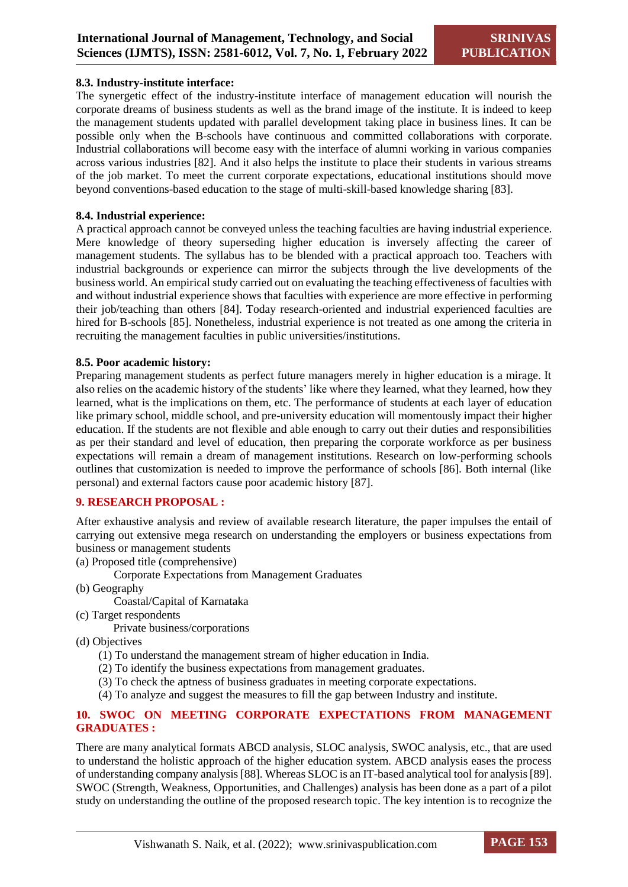#### **8.3. Industry-institute interface:**

The synergetic effect of the industry-institute interface of management education will nourish the corporate dreams of business students as well as the brand image of the institute. It is indeed to keep the management students updated with parallel development taking place in business lines. It can be possible only when the B-schools have continuous and committed collaborations with corporate. Industrial collaborations will become easy with the interface of alumni working in various companies across various industries [82]. And it also helps the institute to place their students in various streams of the job market. To meet the current corporate expectations, educational institutions should move beyond conventions-based education to the stage of multi-skill-based knowledge sharing [83].

#### **8.4. Industrial experience:**

A practical approach cannot be conveyed unless the teaching faculties are having industrial experience. Mere knowledge of theory superseding higher education is inversely affecting the career of management students. The syllabus has to be blended with a practical approach too. Teachers with industrial backgrounds or experience can mirror the subjects through the live developments of the business world. An empirical study carried out on evaluating the teaching effectiveness of faculties with and without industrial experience shows that faculties with experience are more effective in performing their job/teaching than others [84]. Today research-oriented and industrial experienced faculties are hired for B-schools [85]. Nonetheless, industrial experience is not treated as one among the criteria in recruiting the management faculties in public universities/institutions.

#### **8.5. Poor academic history:**

Preparing management students as perfect future managers merely in higher education is a mirage. It also relies on the academic history of the students' like where they learned, what they learned, how they learned, what is the implications on them, etc. The performance of students at each layer of education like primary school, middle school, and pre-university education will momentously impact their higher education. If the students are not flexible and able enough to carry out their duties and responsibilities as per their standard and level of education, then preparing the corporate workforce as per business expectations will remain a dream of management institutions. Research on low-performing schools outlines that customization is needed to improve the performance of schools [86]. Both internal (like personal) and external factors cause poor academic history [87].

#### **9. RESEARCH PROPOSAL :**

After exhaustive analysis and review of available research literature, the paper impulses the entail of carrying out extensive mega research on understanding the employers or business expectations from business or management students

(a) Proposed title (comprehensive)

Corporate Expectations from Management Graduates

(b) Geography

Coastal/Capital of Karnataka

(c) Target respondents

Private business/corporations

(d) Objectives

- (1) To understand the management stream of higher education in India.
- (2) To identify the business expectations from management graduates.
- (3) To check the aptness of business graduates in meeting corporate expectations.
- (4) To analyze and suggest the measures to fill the gap between Industry and institute.

#### **10. SWOC ON MEETING CORPORATE EXPECTATIONS FROM MANAGEMENT GRADUATES :**

There are many analytical formats ABCD analysis, SLOC analysis, SWOC analysis, etc., that are used to understand the holistic approach of the higher education system. ABCD analysis eases the process of understanding company analysis [88]. Whereas SLOC is an IT-based analytical tool for analysis [89]. SWOC (Strength, Weakness, Opportunities, and Challenges) analysis has been done as a part of a pilot study on understanding the outline of the proposed research topic. The key intention is to recognize the

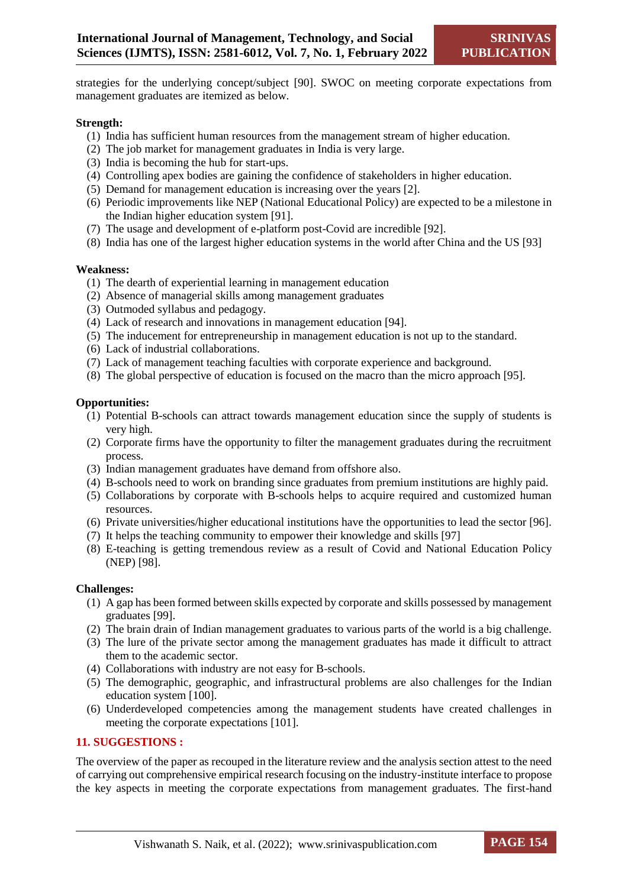strategies for the underlying concept/subject [90]. SWOC on meeting corporate expectations from management graduates are itemized as below.

#### **Strength:**

- (1) India has sufficient human resources from the management stream of higher education.
- (2) The job market for management graduates in India is very large.
- (3) India is becoming the hub for start-ups.
- (4) Controlling apex bodies are gaining the confidence of stakeholders in higher education.
- (5) Demand for management education is increasing over the years [2].
- (6) Periodic improvements like NEP (National Educational Policy) are expected to be a milestone in the Indian higher education system [91].
- (7) The usage and development of e-platform post-Covid are incredible [92].
- (8) India has one of the largest higher education systems in the world after China and the US [93]

#### **Weakness:**

- (1) The dearth of experiential learning in management education
- (2) Absence of managerial skills among management graduates
- (3) Outmoded syllabus and pedagogy.
- (4) Lack of research and innovations in management education [94].
- (5) The inducement for entrepreneurship in management education is not up to the standard.
- (6) Lack of industrial collaborations.
- (7) Lack of management teaching faculties with corporate experience and background.
- (8) The global perspective of education is focused on the macro than the micro approach [95].

#### **Opportunities:**

- (1) Potential B-schools can attract towards management education since the supply of students is very high.
- (2) Corporate firms have the opportunity to filter the management graduates during the recruitment process.
- (3) Indian management graduates have demand from offshore also.
- (4) B-schools need to work on branding since graduates from premium institutions are highly paid.
- (5) Collaborations by corporate with B-schools helps to acquire required and customized human resources.
- (6) Private universities/higher educational institutions have the opportunities to lead the sector [96].
- (7) It helps the teaching community to empower their knowledge and skills [97]
- (8) E-teaching is getting tremendous review as a result of Covid and National Education Policy (NEP) [98].

#### **Challenges:**

- (1) A gap has been formed between skills expected by corporate and skills possessed by management graduates [99].
- (2) The brain drain of Indian management graduates to various parts of the world is a big challenge.
- (3) The lure of the private sector among the management graduates has made it difficult to attract them to the academic sector.
- (4) Collaborations with industry are not easy for B-schools.
- (5) The demographic, geographic, and infrastructural problems are also challenges for the Indian education system [100].
- (6) Underdeveloped competencies among the management students have created challenges in meeting the corporate expectations [101].

# **11. SUGGESTIONS :**

The overview of the paper as recouped in the literature review and the analysis section attest to the need of carrying out comprehensive empirical research focusing on the industry-institute interface to propose the key aspects in meeting the corporate expectations from management graduates. The first-hand

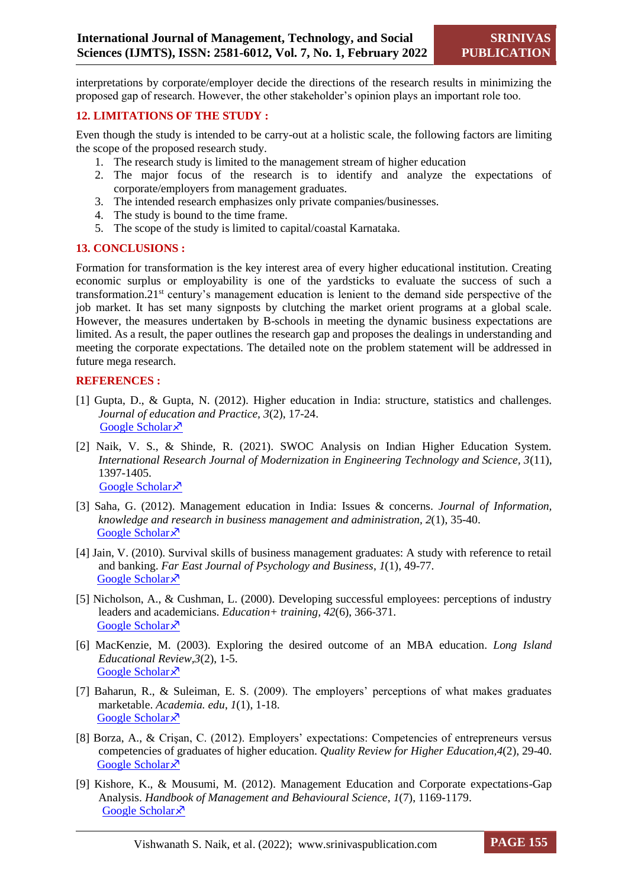interpretations by corporate/employer decide the directions of the research results in minimizing the proposed gap of research. However, the other stakeholder's opinion plays an important role too.

#### **12. LIMITATIONS OF THE STUDY :**

Even though the study is intended to be carry-out at a holistic scale, the following factors are limiting the scope of the proposed research study.

- 1. The research study is limited to the management stream of higher education
- 2. The major focus of the research is to identify and analyze the expectations of corporate/employers from management graduates.
- 3. The intended research emphasizes only private companies/businesses.
- 4. The study is bound to the time frame.
- 5. The scope of the study is limited to capital/coastal Karnataka.

#### **13. CONCLUSIONS :**

Formation for transformation is the key interest area of every higher educational institution. Creating economic surplus or employability is one of the yardsticks to evaluate the success of such a transformation.21st century's management education is lenient to the demand side perspective of the job market. It has set many signposts by clutching the market orient programs at a global scale. However, the measures undertaken by B-schools in meeting the dynamic business expectations are limited. As a result, the paper outlines the research gap and proposes the dealings in understanding and meeting the corporate expectations. The detailed note on the problem statement will be addressed in future mega research.

#### **REFERENCES :**

- [1] Gupta, D., & Gupta, N. (2012). Higher education in India: structure, statistics and challenges. *Journal of education and Practice, 3*(2), 17-24. [Google Scholar](https://scholar.google.com/scholar?hl=en&as_sdt=0%2C5&q=Gupta%2C+D.%2C+%26+Gupta%2C+N.+%282012%29.+Higher+education+in+India%3A+structure%2C+statistics+and+challenges.+Journal+of+education+and+Practice%2C+3%282%29%2C+17-24.&btnG=) ×
- [2] Naik, V. S., & Shinde, R. (2021). SWOC Analysis on Indian Higher Education System. *International Research Journal of Modernization in Engineering Technology and Science, 3*(11), 1397-1405. [Google Scholar](https://scholar.google.com/scholar?hl=en&as_sdt=0%2C5&q=Naik%2C+V.+S.%2C+%26+Shinde%2C+R.+SWOC+ANALYSIS+ON+INDIAN+HIGHER+EDUCATION+SYSTEM.+&btnG=) ×
- [3] Saha, G. (2012). Management education in India: Issues & concerns. *Journal of Information, knowledge and research in business management and administration, 2*(1), 35-40. [Google Scholar](https://scholar.google.com/scholar?hl=en&as_sdt=0%2C5&q=Saha%2C+G.+%282012%29.+Management+education+in+India%3A+Issues+%26+concerns.+Journal+of+Information%2C+knowledge+and+research+in+business+management+and+administration%2C+2%281%29%2C+35-40.&btnG=) ×
- [4] Jain, V. (2010). Survival skills of business management graduates: A study with reference to retail and banking. *Far East Journal of Psychology and Business*, *1*(1), 49-77. [Google Scholar](https://scholar.google.com/scholar?hl=en&as_sdt=0%2C5&q=Jain%2C+V.+%282010%29.+Survival+skills+of+business+management+graduates%3A+A+study+with+reference+to+retail+and+banking.+Far+East+Journal+of+Psychology+and+Business%2C+1%284%29%2C+59-77.+&btnG=) ×
- [5] Nicholson, A., & Cushman, L. (2000). Developing successful employees: perceptions of industry leaders and academicians. *Education+ training, 42*(6), 366-371. [Google Scholar](https://scholar.google.com/scholar?hl=en&as_sdt=0%2C5&q=Nicholson%2C+A.%2C+%26+Cushman%2C+L.+%282000%29.+Developing+successful+employees%3A+perceptions+of+industry+leaders+and+academicians.+Education%2B+training.&btnG=)<sup> $\lambda$ </sup>
- [6] MacKenzie, M. (2003). Exploring the desired outcome of an MBA education. *Long Island Educational Review,3*(2), 1-5. [Google Scholar](https://scholar.google.com/scholar?hl=en&as_sdt=0%2C5&q=MacKenzie%2C+M.+%282003%29.+Exploring+the+desired+outcome+of+an+MBA+education.+Long+Island+Educational+Review%2C+3%282%29%2C+14-16.&btnG=) ×
- [7] Baharun, R., & Suleiman, E. S. (2009). The employers' perceptions of what makes graduates marketable. *Academia. edu*, *1*(1), 1-18. [Google Scholar](https://scholar.google.com/scholar?hl=en&as_sdt=0%2C5&q=Baharun%2C+R.%2C+%26+Suleiman%2C+E.+S.+%282009%29.+The+employers%E2%80%99+perceptions+of+what+makes+graduates+marketable.+Academia.+edu%2C+1-17.&btnG=)<sup> $\lambda$ </sup>
- [8] Borza, A., & Crişan, C. (2012). Employers' expectations: Competencies of entrepreneurs versus competencies of graduates of higher education. *Quality Review for Higher Education,4*(2), 29-40. [Google Scholar](https://scholar.google.com/scholar?hl=en&as_sdt=0%2C5&q=Borza%2C+A.%2C+%26+Cri%C5%9Fan%2C+C.+%282012%29.+Employers%E2%80%99+expectations%3A+Competencies+of+entrepreneurs+versus+competencies+of+graduates+of+higher+education.+Quality+Review+for+Higher+Education%2C+4%282%29%2C+29-40.&btnG=) ×
- [9] Kishore, K., & Mousumi, M. (2012). Management Education and Corporate expectations-Gap Analysis. *Handbook of Management and Behavioural Science*, *1*(7), 1169-1179. [Google Scholar](https://scholar.google.com/scholar?hl=en&as_sdt=0%2C5&q=Kishore%2C+K.%2C+%26+Mousumi%2C+M.+%282012%29.+Management+Education+and+Corporate+expectations-Gap+Analysis.+Handbook+of+Management+and+Behavioural+Science%2C+7.&btnG=)<sup> $\lambda$ </sup>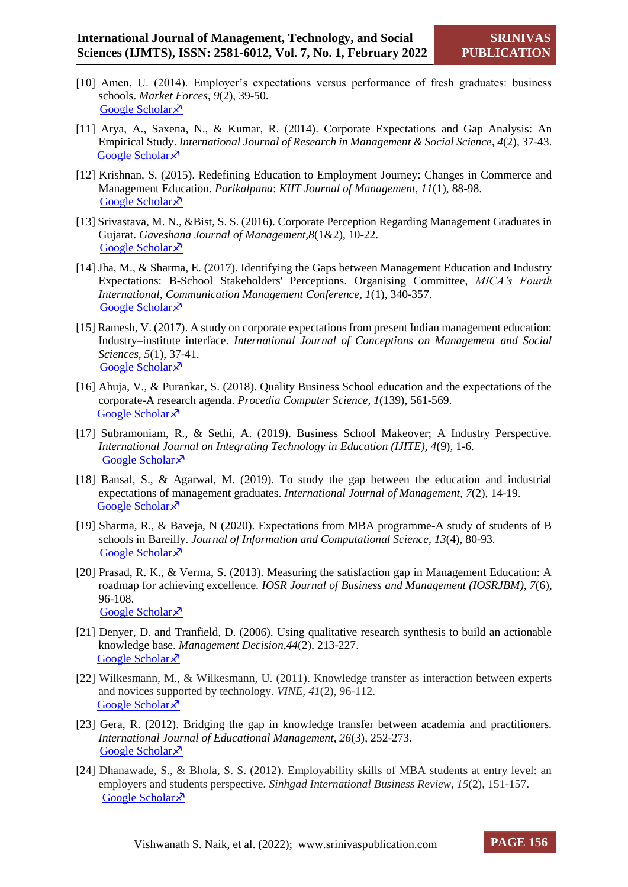- [10] Amen, U. (2014). Employer's expectations versus performance of fresh graduates: business schools. *Market Forces*, *9*(2), 39-50. [Google Scholar](https://scholar.google.com/scholar?hl=en&as_sdt=0%2C5&q=Amen%2C+U.+%282014%29.+Employer%E2%80%99s+expectations+versus+performance+of+fresh+graduates%3A+business+schools.+Market+Forces%2C+9%282%29.&btnG=) ×
- [11] Arya, A., Saxena, N., & Kumar, R. (2014). Corporate Expectations and Gap Analysis: An Empirical Study. *International Journal of Research in Management & Social Science*, *4*(2), 37-43. [Google Scholar](https://scholar.google.com/scholar?hl=en&as_sdt=0%2C5&q=Arya%2C+A.%2C+Saxena%2C+N.%2C+%26+Kumar%2C+R.+%282014%29.+CORPORATE+EXPECTATIONS+AND+GAP+ANALYSIS%3A+AN+EMPIRICAL+STUDY.+International+Journal+of+Research+in+Management+%26+Social+Science%2C+37.&btnG=) ×
- [12] Krishnan, S. (2015). Redefining Education to Employment Journey: Changes in Commerce and Management Education*. Parikalpana*: *KIIT Journal of Management, 11*(1), 88-98. [Google Scholar](https://scholar.google.com/scholar?hl=en&as_sdt=0%2C5&q=Krishnan%2C+S.+%282015%29.+Redefining+Education+to+Employment+Journey%3A+Changes+in+Commerce+and+Management+Education.+Parikalpana%3A+KIIT+Journal+of+Management%2C+11%281%29%2C+88.&btnG=) ×
- [13] Srivastava, M. N., &Bist, S. S. (2016). Corporate Perception Regarding Management Graduates in Gujarat. *Gaveshana Journal of Management,8*(1&2), 10-22. [Google Scholar](https://scholar.google.com/scholar?hl=en&as_sdt=0%2C5&q=Srivastava%2C+M.+N.%2C+%26+Bist%2C+S.+S.+%282016%29.+Corporate+Perception+Regarding+Management+Graduates+in+Gujarat.+Gaveshana+Journal+of+Management%2C+8%282%29%2C+10.&btnG=) ×
- [14] Jha, M., & Sharma, E. (2017). Identifying the Gaps between Management Education and Industry Expectations: B-School Stakeholders' Perceptions. Organising Committee, *MICA's Fourth International, Communication Management Conference, 1*(1), 340-357. [Google Scholar](https://scholar.google.com/scholar?hl=en&as_sdt=0%2C5&q=Jha%2C+M.%2C+%26+Sharma%2C+E.+%282017%29.+Identifying+the+Gaps+between+Management+Education+and+Industry+Expectations%3A+B-School+Stakeholders%27+Perceptions.+Organising+Committee%2C+340.&btnG=) ×
- [15] Ramesh, V. (2017). A study on corporate expectations from present Indian management education: Industry–institute interface. *International Journal of Conceptions on Management and Social Sciences, 5*(1), 37-41. [Google Scholar](https://scholar.google.com/scholar?hl=en&as_sdt=0%2C5&q=Ramesh%2C+V.+%282017%29.+A+study+on+corporate+expectations+from+present+Indian+management+education%3A+Industry%E2%80%93institute+interface.+International+Journal+of+Conceptions+on+Management+and+Social+Sciences%2C+5%281%29.&btnG=) ×
- [16] Ahuja, V., & Purankar, S. (2018). Quality Business School education and the expectations of the corporate-A research agenda. *Procedia Computer Science*, *1*(139), 561-569. [Google Scholar](https://scholar.google.com/scholar?hl=en&as_sdt=0%2C5&q=Ahuja%2C+V.%2C+%26+Purankar%2C+S.+%282018%29.+Quality+Business+School+education+and+the+expectations+of+the+corporate-A+research+agenda.+Procedia+Computer+Science%2C+139%2C+561-569.&btnG=) ×
- [17] Subramoniam, R., & Sethi, A. (2019). Business School Makeover; A Industry Perspective. *International Journal on Integrating Technology in Education (IJITE), 4*(9)*,* 1-6*.* [Google Scholar](https://scholar.google.com/scholar?hl=en&as_sdt=0%2C5&q=Subramoniam%2C+R.%2C+%26+Sethi%2C+A.+%282019%29+BUSINESS+SCHOOL+MAKEOVER%3B+A+INDUSTRY+PERSPECTIVE.+International+Journal+on+Integrating+Technology+in+Education+%28IJITE%29+4%289%29.&btnG=) ×
- [18] Bansal, S., & Agarwal, M. (2019). To study the gap between the education and industrial expectations of management graduates. *International Journal of Management*, *7*(2), 14-19. [Google Scholar](https://scholar.google.com/scholar?hl=en&as_sdt=0%2C5&q=Bansal%2C+S.%2C+%26+Agarwal%2C+M.+%282019%29.+To+study+the+gap+between+the+education+and+industrial+expectations+of+management+graduates.+management%2C+7%2C+591.&btnG=) ×
- [19] Sharma, R., & Baveja, N (2020). Expectations from MBA programme-A study of students of B schools in Bareilly. *Journal of Information and Computational Science, 13*(4), 80-93*.* [Google Scholar](https://scholar.google.com/scholar?hl=en&as_sdt=0%2C5&q=Sharma%2C+R.%2C+%26+Baveja%2C+N+%282020%29.+Expectations+from+MBA+programme-A+study+of+students+of+B+schools+in+Bareilly.&btnG=) ×
- [20] Prasad, R. K., & Verma, S. (2013). Measuring the satisfaction gap in Management Education: A roadmap for achieving excellence. *IOSR Journal of Business and Management (IOSRJBM), 7*(6), 96-108. [Google Scholar](https://scholar.google.com/scholar?hl=en&as_sdt=0%2C5&q=%5D+Prasad%2C+R.+K.%2C+%26+Verma%2C+S.+%282013%29.+Measuring+the+satisfaction+gap+in+Management+Education%3A+A+roadmap+for+achieving+excellence.+IOSR+Journal+of+Business+and+Management+%28IOSRJBM%29%2C+7%286%29%2C+96-108.&btnG=) ×
- [21] Denyer, D. and Tranfield, D. (2006). Using qualitative research synthesis to build an actionable knowledge base. *Management Decision,44*(2), 213-227. [Google Scholar](https://scholar.google.com/scholar?hl=en&as_sdt=0%2C5&q=Denyer%2C+D.+and+Tranfield%2C+D.+%282006%29%2C+%22Using+qualitative+research+synthesis+to+build+an+actionable+knowledge+base%22%2C+Management+Decision%2C+Vol.+44+No.+2%2C+pp.+213-227.&btnG=) ×
- [22] Wilkesmann, M., & Wilkesmann, U. (2011). Knowledge transfer as interaction between experts and novices supported by technology. *VINE, 41*(2), 96-112. [Google Scholar](https://scholar.google.com/scholar?hl=en&as_sdt=0%2C5&q=Wilkesmann%2C+M.%2C+%26+Wilkesmann%2C+U.+%282011%29.+Knowledge+transfer+as+interaction+between+experts+and+novices+supported+by+technology.+Vine.+96-112&btnG=) ×
- [23] Gera, R. (2012). Bridging the gap in knowledge transfer between academia and practitioners. *International Journal of Educational Management, 26*(3), 252-273. [Google Scholar](https://scholar.google.com/scholar?hl=en&as_sdt=0%2C5&q=Gera%2C+R.+%282012%29.+Bridging+the+gap+in+knowledge+transfer+between+academia+and+practitioners.+International+Journal+of+Educational+Management.&btnG=) ×
- [24] Dhanawade, S., & Bhola, S. S. (2012). Employability skills of MBA students at entry level: an employers and students perspective*. Sinhgad International Business Review*, *15*(2), 151-157. [Google Scholar](https://scholar.google.com/scholar?q=Dhanawade,+S.,+%26+Bhola,+S.+S.+(2012).+Employability+skills+of+MBA+students+at+entry+level:+an+employers+and+students+perspective.+Sinhgad+International+Business+Review,+vol+5.+Issue+2++151-157&hl=en&as_sdt=0,5) ×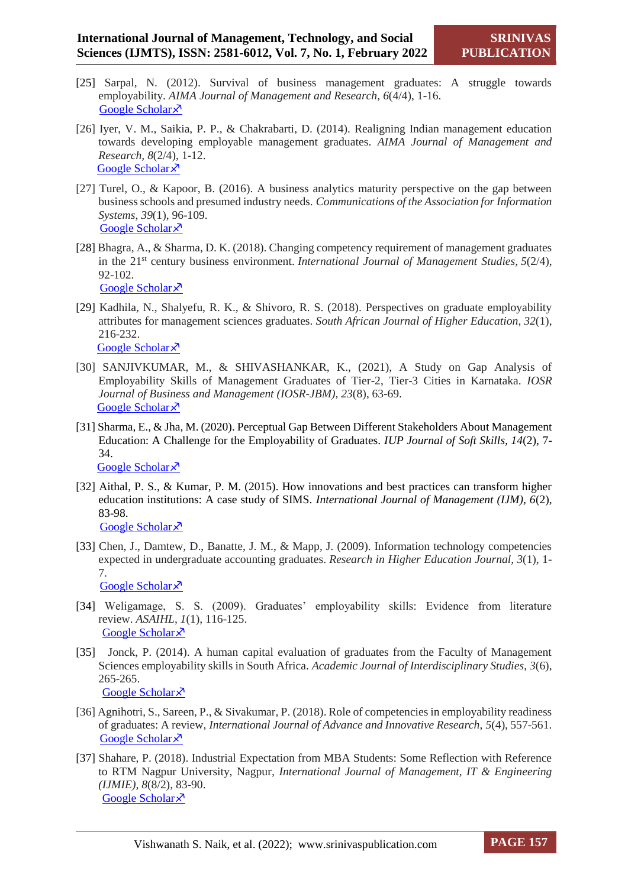- [25] Sarpal, N. (2012). Survival of business management graduates: A struggle towards employability. *AIMA Journal of Management and Research*, *6*(4/4), 1-16. [Google Scholar](https://scholar.google.com/scholar?hl=en&as_sdt=0%2C5&q=Sarpal%2C+N.+%282012%29.+Survival+of+business+management+graduates%3A+A+struggle+towards+employability.+AIMA+Journal+of+Management+and+Research%2C+6%284%2F4%29%2C+1-16.&btnG=) ×
- [26] Iyer, V. M., Saikia, P. P., & Chakrabarti, D. (2014). Realigning Indian management education towards developing employable management graduates. *AIMA Journal of Management and Research, 8*(2/4), 1-12. [Google Scholar](https://scholar.google.com/scholar?hl=en&as_sdt=0%2C5&scioq=Changing+competency+requirement+of+management+graduates+in+the+21st+century+business+environment.+&q=REALIGNING+INDIAN+MANAGEMENT+EDUCATION+TOWARDS+DEVELOPING+EMPLOYABLE+MANAGEMENT+GRADUATES&btnG=) ×
- [27] Turel, O., & Kapoor, B. (2016). A business analytics maturity perspective on the gap between business schools and presumed industry needs. *Communications of the Association for Information Systems*, *39*(1), 96-109. [Google Scholar](https://scholar.google.com/scholar?hl=en&as_sdt=0%2C5&q=Turel%2C+O.%2C+%26+Kapoor%2C+B.+%282016%29.+A+business+analytics+maturity+perspective+on+the+gap+between+business+schools+and+presumed+industry+needs.+Communications+of+the+Association+for+Information+Systems%2C+39%281%29%2C+6.&btnG=) ×
- [28] Bhagra, A., & Sharma, D. K. (2018). Changing competency requirement of management graduates in the 21<sup>st</sup> century business environment. *International Journal of Management Studies*, 5(2/4), 92-102. [Google Scholar](https://scholar.google.com/scholar?hl=en&as_sdt=0%2C5&q=Bhagra%2C+A.%2C+%26+Sharma%2C+D.+K.+%282018%29.+Changing+competency+requirement+of+management+graduates+in+the+21st+century+business+environment.+International+Journal+of+Management+Studies%2C+5%282%2F4%29%2C+92-102.+&btnG=) ×
- [29] Kadhila, N., Shalyefu, R. K., & Shivoro, R. S. (2018). Perspectives on graduate employability attributes for management sciences graduates. *South African Journal of Higher Education*, *32*(1), 216-232. [Google Scholar](https://scholar.google.com/scholar?hl=en&as_sdt=0%2C5&q=Kadhila%2C+N.%2C+Shalyefu%2C+R.+K.%2C+%26+Shivoro%2C+R.+S.+%282018%29.+Perspectives+on+graduate+employability+attributes+for+management+sciences+graduates.+South+African+Journal+of+Higher+Education%2C+32%281%29%2C+216-232.&btnG=) ×
- [30] SANJIVKUMAR, M., & SHIVASHANKAR, K., (2021), A Study on Gap Analysis of Employability Skills of Management Graduates of Tier-2, Tier-3 Cities in Karnataka. *IOSR Journal of Business and Management (IOSR-JBM), 23*(8), 63-69. [Google Scholar](https://scholar.google.com/scholar?hl=en&as_sdt=0%2C5&q=SANJIVKUMAR%2C+M.%2C+%26+SHIVASHANKAR%2C+K.%2C+%282021%29%2C+A+Study+on+Gap+Analysis+of+Employability+Skills+of+Management+Graduates+of+Tier-2%2C+Tier-3+Cities+in+Karnataka.+IOSR+Journal+of+Business+and+Management+%28IOSR-JBM%29+Volume+23%2C+Issue+8.+Ser.+I+%28August+2021%29%2C+PP+63-69&btnG=) ×
- [31] Sharma, E., & Jha, M. (2020). Perceptual Gap Between Different Stakeholders About Management Education: A Challenge for the Employability of Graduates. *IUP Journal of Soft Skills, 14*(2), 7- 34.

[Google Scholar](https://scholar.google.com/scholar?hl=en&as_sdt=0%2C5&q=Sharma%2C+E.%2C+%26+Jha%2C+M.+%282020%29.+Perceptual+Gap+Between+Different+Stakeholders+About+Management+Education%3A+A+Challenge+for+the+Employability+of+Graduates.+IUP+Journal+of+Soft+Skills%2C+14%282%29%2C+7-34.&btnG=) ×

- [32] Aithal, P. S., & Kumar, P. M. (2015). How innovations and best practices can transform higher education institutions: A case study of SIMS. *International Journal of Management (IJM), 6*(2), 83-98. [Google Scholar](https://scholar.google.com/scholar?hl=en&as_sdt=0%2C5&q=Aithal%2C+P.+S.%2C+%26+Kumar%2C+P.+M.+%282015%29.+How+innovations+and+best+practices+can+transform+higher+education+institutions%3A+A+case+study+of+SIMS.+International+Journal+of+Management+%28IJM%29%2C+6%282%29%2C+83-98.&btnG=) ×
- [33] Chen, J., Damtew, D., Banatte, J. M., & Mapp, J. (2009). Information technology competencies expected in undergraduate accounting graduates. *Research in Higher Education Journal*, *3*(1), 1- 7. [Google Scholar](https://scholar.google.com/scholar?hl=en&as_sdt=0%2C5&q=Chen%2C+J.%2C+Damtew%2C+D.%2C+Banatte%2C+J.+M.%2C+%26+Mapp%2C+J.+%282009%29.+Information+technology+competencies+expected+in+undergraduate+accounting+graduates.+Research+in+Higher+Education+Journal%2C+3%2C+1.&btnG=) ×
- [34] Weligamage, S. S. (2009). Graduates' employability skills: Evidence from literature review. *ASAIHL*, *1*(1), 116-125. [Google Scholar](https://scholar.google.com/scholar?hl=en&as_sdt=0%2C5&q=Weligamage%2C+S.+S.+%282009%29.+Graduates%E2%80%99+employability+skills%3A+Evidence+from+literature+review.+Sri+Lanka%3A+University+of+Kelaniya.+ASAIHL.+116-125.&btnG=) ×
- [35] Jonck, P. (2014). A human capital evaluation of graduates from the Faculty of Management Sciences employability skills in South Africa. *Academic Journal of Interdisciplinary Studies*, *3*(6), 265-265. [Google Scholar](https://scholar.google.com/scholar?hl=en&as_sdt=0%2C5&q=Jonck%2C+P.+%282014%29.+A+human+capital+evaluation+of+graduates+from+the+Faculty+of+Management+Sciences+employability+skills+in+South+Africa.+Academic+Journal+of+Interdisciplinary+Studies%2C+3%286%29%2C+265-265.&btnG=)<sup> $\bar{x}$ </sup>
- [36] Agnihotri, S., Sareen, P., & Sivakumar, P. (2018). Role of competencies in employability readiness of graduates: A review, *International Journal of Advance and Innovative Research*, *5*(4), 557-561. [Google Scholar](https://scholar.google.com/scholar?hl=en&as_sdt=0%2C5&q=Agnihotri%2C+S.%2C+Sareen%2C+P.%2C+%26+Sivakumar%2C+P.+%282018%29.+Role+of+competencies+in+employability+readiness+of+graduates%3A+A+review.+Advance+and+Innovative+Research%2C+5%284%29%2C+557-561.&btnG=) ×
- [37] Shahare, P. (2018). Industrial Expectation from MBA Students: Some Reflection with Reference to RTM Nagpur University, Nagpur*, International Journal of Management, IT & Engineering (IJMIE), 8*(8/2), 83-90. [Google Scholar](https://scholar.google.com/scholar?hl=en&as_sdt=0%2C5&q=Shahare%2C+P.+%282018%29.+Industrial+Expectation+from+MBA+Students%3A+Some+Reflection+with+Reference+to+RTM+Nagpur+University%2C+Nagpur.+Industrial+Expectation+from+MBA+Students%3A+Some+reflection+with+reference+to+RTM+Nagpur+University%2C+Nagpur%2C+International+Journal+of+Management%2C+IT+%26+Engineering+%28IJMIE%29+ISSN%2C+%282249-0558%29%2C+83-90.&btnG=) ×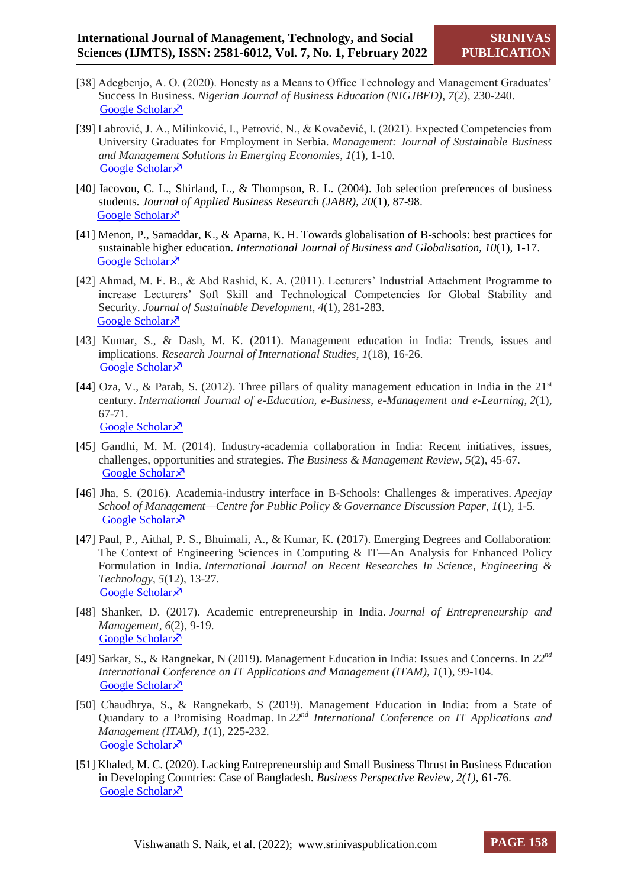- [38] Adegbenjo, A. O. (2020). Honesty as a Means to Office Technology and Management Graduates' Success In Business. *Nigerian Journal of Business Education (NIGJBED)*, *7*(2), 230-240. [Google Scholar](https://scholar.google.com/scholar?hl=en&as_sdt=0%2C5&q=Adegbenjo%2C+A.+O.+%282020%29.+HONESTY+AS+A+MEANS+TO+OFFICE+TECHNOLOGY+AND+MANAGEMENT+GRADUATES%27SUCCESS+IN+BUSINESS.+Nigerian+Journal+of+Business+Education+%28NIGJBED%29%2C+7%282%29%2C+230-240.&btnG=) ×
- [39] Labrović, J. A., Milinković, I., Petrović, N., & Kovačević, I. (2021). Expected Competencies from University Graduates for Employment in Serbia. *Management: Journal of Sustainable Business and Management Solutions in Emerging Economies*, *1*(1), 1-10. [Google Scholar](https://scholar.google.com/scholar?hl=en&as_sdt=0%2C5&q=Labrovi%C4%87%2C+J.+A.%2C+Milinkovi%C4%87%2C+I.%2C+Petrovi%C4%87%2C+N.%2C+%26+Kova%C4%8Devi%C4%87%2C+I.+%282021%29.+Expected+Competencies+from+University+Graduates+for+Employment+in+Serbia.+Management%3A+Journal+of+Sustainable+Business+and+Management+Solutions+in+Emerging+Economies.&btnG=) ×
- [40] Iacovou, C. L., Shirland, L., & Thompson, R. L. (2004). Job selection preferences of business students. *Journal of Applied Business Research (JABR), 20*(1), 87-98. [Google Scholar](https://scholar.google.com/scholar?hl=en&as_sdt=0%2C5&q=Iacovou%2C+C.+L.%2C+Shirland%2C+L.%2C+%26+Thompson%2C+R.+L.+%282004%29.+Job+selection+preferences+of+business+students.+Journal+of+Applied+Business+Research+%28JABR%29%2C+20%281%29%2C+87-98.&btnG=)<sup> $\lambda$ </sup>
- [41] Menon, P., Samaddar, K., & Aparna, K. H. Towards globalisation of B-schools: best practices for sustainable higher education. *International Journal of Business and Globalisation, 10*(1), 1-17. [Google Scholar](https://scholar.google.com/scholar?hl=en&as_sdt=0%2C5&q=Towards+globalisation+of+B-schools%3A+best+practices+for+sustainable+higher+education&btnG=) ×
- [42] Ahmad, M. F. B., & Abd Rashid, K. A. (2011). Lecturers' Industrial Attachment Programme to increase Lecturers' Soft Skill and Technological Competencies for Global Stability and Security. *Journal of Sustainable Development*, *4*(1), 281-283. [Google Scholar](https://scholar.google.com/scholar?hl=en&as_sdt=0%2C5&q=Ahmad%2C+M.+F.+B.%2C+%26+Abd+Rashid%2C+K.+A.+%282011%29.+Lecturers%27+Industrial+Attachment+Programme+to+increase+Lecturers%27+Soft+Skill+and+Technological+Competencies+for+Global+Stability+and+Security.+Journal+of+Sustainable+Development%2C+4%281%29%2C+281-283.&btnG=)<sup> $\lambda$ </sup>
- [43] Kumar, S., & Dash, M. K. (2011). Management education in India: Trends, issues and implications. *Research Journal of International Studies*, *1*(18), 16-26. [Google Scholar](https://scholar.google.com/scholar?hl=en&as_sdt=0%2C5&q=Kumar%2C+S.%2C+%26+Dash%2C+M.+K.+%282011%29.+Management+education+in+India%3A+Trends%2C+issues+and+implications.+Research+Journal+of+International+Studies%2C+18%281%29%2C+16-26.&btnG=)<sup> $\lambda$ </sup>
- [44] Oza, V., & Parab, S. (2012). Three pillars of quality management education in India in the  $21<sup>st</sup>$ century. *International Journal of e-Education, e-Business, e-Management and e-Learning*, *2*(1), 67-71. [Google Scholar](https://scholar.google.com/scholar?hl=en&as_sdt=0%2C5&q=Oza%2C+V.%2C+%26+Parab%2C+S.+%282012%29.+Three+pillars+of+quality+management+education+in+India+in+the+21st+century.+International+Journal+of+e-Education%2C+e-Business%2C+e-Management+and+e-Learning%2C+2%281%29%2C+67.&btnG=) ×
- [45] Gandhi, M. M. (2014). Industry-academia collaboration in India: Recent initiatives, issues, challenges, opportunities and strategies. *The Business & Management Review*, *5*(2), 45-67. [Google Scholar](https://scholar.google.com/scholar?hl=en&as_sdt=0%2C5&q=Gandhi%2C+M.+M.+%282014%29.+Industry-academia+collaboration+in+India%3A+Recent+initiatives%2C+issues%2C+challenges%2C+opportunities+and+strategies.+The+Business+%26+Management+Review%2C+5%282%29%2C+45.&btnG=) ×
- [46] Jha, S. (2016). Academia-industry interface in B-Schools: Challenges & imperatives. *Apeejay School of Management—Centre for Public Policy & Governance Discussion Paper*, *1*(1), 1-5. [Google Scholar](https://scholar.google.com/scholar?hl=en&as_sdt=0%2C5&q=Jha%2C+S.+%282016%29.+Academia-industry+interface+in+B-Schools%3A+Challenges+%26+imperatives.+Apeejay+School+of+Management--Centre+for+Public+Policy+%26+Governance+Discussion+Paper%2C+2.+1-5&btnG=) ×
- [47] Paul, P., Aithal, P. S., Bhuimali, A., & Kumar, K. (2017). Emerging Degrees and Collaboration: The Context of Engineering Sciences in Computing & IT—An Analysis for Enhanced Policy Formulation in India. *International Journal on Recent Researches In Science, Engineering & Technology*, *5*(12), 13-27. [Google Scholar](https://scholar.google.com/scholar?hl=en&as_sdt=0%2C5&q=Paul%2C+P.%2C+Aithal%2C+P.+S.%2C+Bhuimali%2C+A.%2C+%26+Kumar%2C+K.+%282017%29.+Emerging+Degrees+and+Collaboration%3A+The+Context+of+Engineering+Sciences+in+Computing+%26+IT%E2%80%94An+Analysis+for+Enhanced+Policy+Formulation+in+India.+International+Journal+on+Recent+Researches+In+Science%2C+Engineering+%26+Technology%2C+5%2812%29%2C+13-27.&btnG=) ×
- [48] Shanker, D. (2017). Academic entrepreneurship in India. *Journal of Entrepreneurship and Management*, *6*(2), 9-19. [Google Scholar](https://scholar.google.com/scholar?hl=en&as_sdt=0%2C5&q=+Academic+entrepreneurship+in+India+2017+Journal+of+Entrepreneurship+and+Management&btnG=) ×
- [49] Sarkar, S., & Rangnekar, N (2019). Management Education in India: Issues and Concerns. In *22nd International Conference on IT Applications and Management (ITAM), 1*(1), 99-104. [Google Scholar](https://scholar.google.com/scholar?hl=en&as_sdt=0%2C5&q=Management+Education+in+India%3A+Issues+and+Concerns+Shruti+Sarkar&btnG=) ×
- [50] Chaudhrya, S., & Rangnekarb, S (2019). Management Education in India: from a State of Quandary to a Promising Roadmap. In *22nd International Conference on IT Applications and Management (ITAM), 1*(1), 225-232. [Google Scholar](https://scholar.google.com/scholar?hl=en&as_sdt=0%2C5&q=Management+Education+in+India%3A+from+a+State+of+Quandary+to+a+Promising+Roadmap.&btnG=) ×
- [51] Khaled, M. C. (2020). Lacking Entrepreneurship and Small Business Thrust in Business Education in Developing Countries: Case of Bangladesh*. Business Perspective Review, 2(1),* 61-76. [Google Scholar](https://scholar.google.com/scholar?hl=en&as_sdt=0%2C5&q=Khaled%2C+M.+C.+%282020%29.+Lacking+Entrepreneurship+and+Small+Business+Thrust+in+Business+Education+in+Developing+Countries%3A+Case+of+Bangladesh.+Business+Perspective+Review+2%281%29%2C+61-76.&btnG=) ×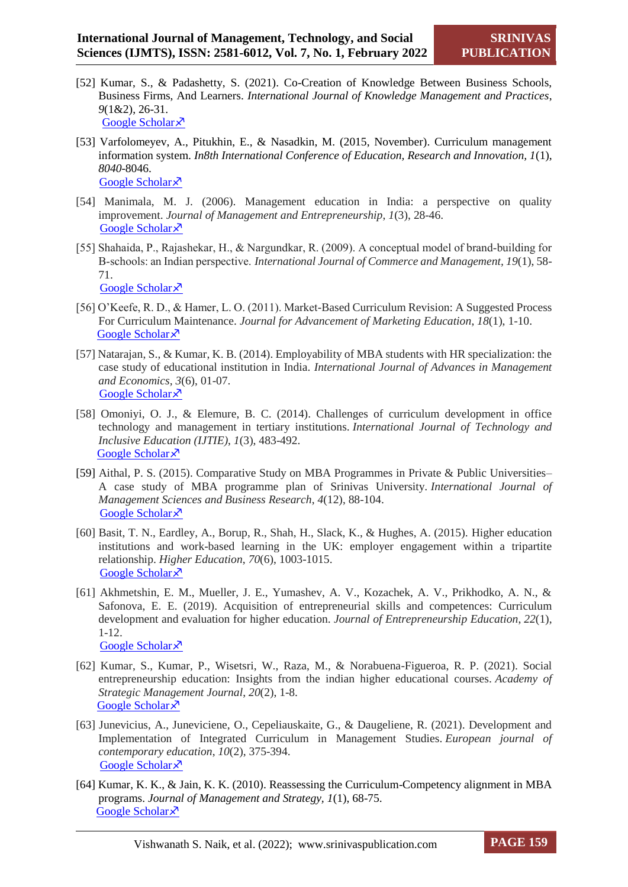- [52] Kumar, S., & Padashetty, S. (2021). Co-Creation of Knowledge Between Business Schools, Business Firms, And Learners. *International Journal of Knowledge Management and Practices*, *9*(1&2), 26-31. [Google Scholar](https://scholar.google.com/scholar?hl=en&as_sdt=0%2C5&q=CO-CREATION+OF+KNOWLEDGE+BETWEEN+BUSINESS+SCHOOLS%2C+BUSINESS+FIRMS%2C+AND+LEARNERS&btnG=) ×
- [53] Varfolomeyev, A., Pitukhin, E., & Nasadkin, M. (2015, November). Curriculum management information system. *In8th International Conference of Education, Research and Innovation, 1*(1), *8040*-8046. [Google Scholar](https://scholar.google.com/scholar?hl=en&as_sdt=0%2C5&q=Curriculum+management+information+system+A+Varfolomeyev&btnG=) ×
- [54] Manimala, M. J. (2006). Management education in India: a perspective on quality improvement. *Journal of Management and Entrepreneurship*, *1*(3), 28-46. [Google Scholar](https://scholar.google.com/scholar?hl=en&as_sdt=0%2C5&q=Manimala%2C+M.+J.+%282006%29.+Management+education+in+India%3A+a+perspective+on+quality+improvement.+Journal+of+Management+and+Entrepreneurship%2C+1%283%29%2C+28-46.&btnG=) ×
- [55] Shahaida, P., Rajashekar, H., & Nargundkar, R. (2009). A conceptual model of brand‐building for B‐schools: an Indian perspective. *International Journal of Commerce and Management, 19*(1), 58- 71. [Google Scholar](https://scholar.google.com/scholar?hl=en&as_sdt=0%2C5&q=Shahaida%2C+P.%2C+Rajashekar%2C+H.%2C+%26+Nargundkar%2C+R.+%282009%29.+A+conceptual+model+of+brand%E2%80%90building+for+B%E2%80%90schools%3A+an+Indian+perspective.+International+Journal+of+Commerce+and+Management.19%281%29%2C+58-71&btnG=) ×
- [56] O'Keefe, R. D., & Hamer, L. O. (2011). Market-Based Curriculum Revision: A Suggested Process For Curriculum Maintenance. *Journal for Advancement of Marketing Education*, *18*(1), 1-10. [Google Scholar](https://scholar.google.com/scholar?hl=en&as_sdt=0%2C5&q=+O%27Keefe%2C+R.+D.%2C+%26+Hamer%2C+L.+O.+%282011%29.+MARKET-BASED+CURRICULUM+REVISION%3A+A+SUGGESTED+PROCESS+FOR+CURRICULUM+MAINTENANCE.+Journal+for+Advancement+of+Marketing+Education%2C+18%281%29.1-10&btnG=) ×
- [57] Natarajan, S., & Kumar, K. B. (2014). Employability of MBA students with HR specialization: the case study of educational institution in India. *International Journal of Advances in Management and Economics, 3*(6), 01-07. [Google Scholar](https://scholar.google.com/scholar?hl=en&as_sdt=0%2C5&q=Employability+of+MBA+students+with+HR+Specialization%3A+The+Case+Study+of+Educational+Institution+in+India&btnG=) ×
- [58] Omoniyi, O. J., & Elemure, B. C. (2014). Challenges of curriculum development in office technology and management in tertiary institutions. *International Journal of Technology and Inclusive Education (IJTIE)*, *1*(3), 483-492. [Google Scholar](https://scholar.google.com/scholar?hl=en&as_sdt=0%2C5&q=Omoniyi%2C+O.+J.%2C+%26+Elemure%2C+B.+C.+%282014%29.+Challenges+of+curriculum+development+in+office+technology+and+management+in+tertiary+institutions.+International+Journal+of+Technology+and+Inclusive+Education+%28IJTIE%29%2C+1%283%29%2C+483-492.&btnG=) ×
- [59] Aithal, P. S. (2015). Comparative Study on MBA Programmes in Private & Public Universities– A case study of MBA programme plan of Srinivas University. *International Journal of Management Sciences and Business Research*, *4*(12), 88-104. [Google Scholar](https://scholar.google.com/scholar?hl=en&as_sdt=0%2C5&q=Aithal%2C+P.+S.+%282015%29.+Comparative+Study+on+MBA+Programmes+in+Private+%26+Public+Universities%E2%80%93A+case+study+of+MBA+programme+plan+of+Srinivas+University.+International+Journal+of+Management+Sciences+and+Business+Research%2C+4%2812%29%2C+106-122.&btnG=) ×
- [60] Basit, T. N., Eardley, A., Borup, R., Shah, H., Slack, K., & Hughes, A. (2015). Higher education institutions and work-based learning in the UK: employer engagement within a tripartite relationship. *Higher Education*, *70*(6), 1003-1015. [Google Scholar](https://scholar.google.com/scholar?hl=en&as_sdt=0%2C5&q=Basit%2C+T.+N.%2C+Eardley%2C+A.%2C+Borup%2C+R.%2C+Shah%2C+H.%2C+Slack%2C+K.%2C+%26+Hughes%2C+A.+%282015%29.+Higher+education+institutions+and+work-based+learning+in+the+UK%3A+employer+engagement+within+a+tripartite+relationship.+Higher+Education%2C+70%286%29%2C+1003-1015.&btnG=) ×
- [61] Akhmetshin, E. M., Mueller, J. E., Yumashev, A. V., Kozachek, A. V., Prikhodko, A. N., & Safonova, E. E. (2019). Acquisition of entrepreneurial skills and competences: Curriculum development and evaluation for higher education. *Journal of Entrepreneurship Education*, *22*(1), 1-12. [Google Scholar](https://scholar.google.com/scholar?hl=en&as_sdt=0%2C5&q=Akhmetshin%2C+E.+M.%2C+Mueller%2C+J.+E.%2C+Yumashev%2C+A.+V.%2C+Kozachek%2C+A.+V.%2C+Prikhodko%2C+A.+N.%2C+%26+Safonova%2C+E.+E.+%282019%29.+Acquisition+of+entrepreneurial+skills+and+competences%3A+Curriculum+development+and+evaluation+for+higher+education.+Journal+of+Entrepreneurship+Education%2C+22%281%29%2C+1-12.&btnG=) ×
- [62] Kumar, S., Kumar, P., Wisetsri, W., Raza, M., & Norabuena-Figueroa, R. P. (2021). Social entrepreneurship education: Insights from the indian higher educational courses. *Academy of Strategic Management Journal*, *20*(2), 1-8. [Google Scholar](https://scholar.google.com/scholar?hl=en&as_sdt=0%2C5&q=Kumar%2C+S.%2C+Kumar%2C+P.%2C+Wisetsri%2C+W.%2C+Raza%2C+M.%2C+%26+Norabuena-Figueroa%2C+R.+P.+%282021%29.+Social+entrepreneurship+education%3A+Insights+from+the+indian+higher+educational+courses.+Academy+of+Strategic+Management+Journal%2C+20%2C+1-8.&btnG=) ×
- [63] Junevicius, A., Juneviciene, O., Cepeliauskaite, G., & Daugeliene, R. (2021). Development and Implementation of Integrated Curriculum in Management Studies. *European journal of contemporary education*, *10*(2), 375-394. [Google Scholar](https://scholar.google.com/scholar?hl=en&as_sdt=0%2C5&q=Junevicius%2C+A.%2C+Juneviciene%2C+O.%2C+Cepeliauskaite%2C+G.%2C+%26+Daugeliene%2C+R.+%282021%29.+Development+and+Implementation+of+Integrated+Curriculum+in+Management+Studies.+European+journal+of+contemporary+education%2C+10%282%29%2C+375-394.&btnG=) ×
- [64] Kumar, K. K., & Jain, K. K. (2010). Reassessing the Curriculum-Competency alignment in MBA programs. *Journal of Management and Strategy, 1*(1), 68-75. [Google Scholar](https://scholar.google.com/scholar?hl=en&as_sdt=0%2C5&q=Reassessing+the+Curriculum-Competency+alignment+in+MBA+programs&btnG=) ×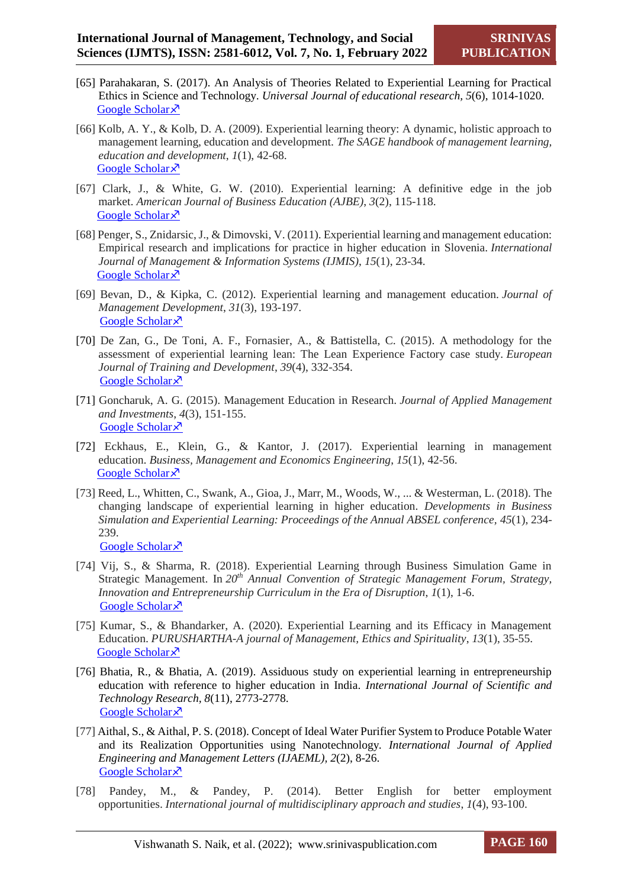- [65] Parahakaran, S. (2017). An Analysis of Theories Related to Experiential Learning for Practical Ethics in Science and Technology. *Universal Journal of educational research, 5*(6), 1014-1020. [Google Scholar](https://scholar.google.com/scholar?hl=en&as_sdt=0%2C5&q=Parahakaran%2C+S.+%282017%29.+An+Analysis+of+Theories+Related+to+Experiential+Learning+for+Practical+Ethics+in+Science+and+Technology.+Universal+Journal+of+educational+research%2C+5%286%29%2C+1014-1020.&btnG=) ×
- [66] Kolb, A. Y., & Kolb, D. A. (2009). Experiential learning theory: A dynamic, holistic approach to management learning, education and development. *The SAGE handbook of management learning, education and development*, *1*(1), 42-68. [Google Scholar](https://scholar.google.com/scholar?hl=en&as_sdt=0%2C5&q=Kolb%2C+A.+Y.%2C+%26+Kolb%2C+D.+A.+%282009%29.+Experiential+learning+theory%3A+A+dynamic%2C+holistic+approach+to+management+learning%2C+education+and+development.+The+SAGE+handbook+of+management+learning%2C+education+and+development%2C+42-68.&btnG=) ×
- [67] Clark, J., & White, G. W. (2010). Experiential learning: A definitive edge in the job market. *American Journal of Business Education (AJBE)*, *3*(2), 115-118. [Google Scholar](https://scholar.google.com/scholar?hl=en&as_sdt=0%2C5&q=Clark%2C+J.%2C+%26+White%2C+G.+W.+%282010%29.+Experiential+learning%3A+A+definitive+edge+in+the+job+market.+American+Journal+of+Business+Education+%28AJBE%29%2C+3%282%29%2C+115-118.&btnG=)<sup> $\lambda$ </sup>
- [68] Penger, S., Znidarsic, J., & Dimovski, V. (2011). Experiential learning and management education: Empirical research and implications for practice in higher education in Slovenia. *International Journal of Management & Information Systems (IJMIS)*, *15*(1), 23-34. [Google Scholar](https://scholar.google.com/scholar?hl=en&as_sdt=0%2C5&q=Penger%2C+S.%2C+Znidarsic%2C+J.%2C+%26+Dimovski%2C+V.+%282011%29.+Experiential+learning+and+management+education%3A+Empirical+research+and+implications+for+practice+in+higher+education+in+Slovenia.+International+Journal+of+Management+%26+Information+Systems+%28IJMIS%29%2C+15%281%29.+23-34&btnG=) ×
- [69] Bevan, D., & Kipka, C. (2012). Experiential learning and management education. *Journal of Management Development*, *31*(3), 193-197. [Google Scholar](https://scholar.google.com/scholar?hl=en&as_sdt=0%2C5&q=Bevan%2C+D.%2C+%26+Kipka%2C+C.+%282012%29.+Experiential+learning+and+management+education.+Journal+of+Management+Development.31%283%29%2C193-197&btnG=) ×
- [70] De Zan, G., De Toni, A. F., Fornasier, A., & Battistella, C. (2015). A methodology for the assessment of experiential learning lean: The Lean Experience Factory case study. *European Journal of Training and Development*, *39*(4), 332-354. [Google Scholar](https://scholar.google.com/scholar?hl=en&as_sdt=0%2C5&q=De+Zan%2C+G.%2C+De+Toni%2C+A.+F.%2C+Fornasier%2C+A.%2C+%26+Battistella%2C+C.+%282015%29.+A+methodology+for+the+assessment+of+experiential+learning+lean%3A+The+Lean+Experience+Factory+case+study.+European+Journal+of+Training+and+Development.+39%284%29%2C+332-354&btnG=) ×
- [71] Goncharuk, A. G. (2015). Management Education in Research. *Journal of Applied Management and Investments*, *4*(3), 151-155. [Google Scholar](https://scholar.google.com/scholar?hl=en&as_sdt=0%2C5&q=Goncharuk%2C+A.+G.+%282015%29.+Management+Education+in+Research.+Journal+of+Applied+Management+and+Investments%2C+4%283%29%2C+151-155.&btnG=) ×
- [72] Eckhaus, E., Klein, G., & Kantor, J. (2017). Experiential learning in management education. *Business, Management and Economics Engineering*, *15*(1), 42-56. [Google Scholar](https://scholar.google.com/scholar?hl=en&as_sdt=0%2C5&q=Eckhaus%2C+E.%2C+Klein%2C+G.%2C+%26+Kantor%2C+J.+%282017%29.+Experiential+learning+in+management+education.+Business%2C+Management+and+Economics+Engineering%2C+15%281%29%2C+42-56.&btnG=) ×
- [73] Reed, L., Whitten, C., Swank, A., Gioa, J., Marr, M., Woods, W., ... & Westerman, L. (2018). The changing landscape of experiential learning in higher education. *Developments in Business Simulation and Experiential Learning: Proceedings of the Annual ABSEL conference, 45*(1), 234- 239. [Google Scholar](https://scholar.google.com/scholar?hl=en&as_sdt=0%2C5&q=Reed%2C+L.%2C+Whitten%2C+C.%2C+Swank%2C+A.%2C+Gioa%2C+J.%2C+Marr%2C+M.%2C+Woods%2C+W.%2C+...+%26+Westerman%2C+L.+%282018%29.+The+changing+landscape+of+experiential+learning+in+higher+education.+Developments+in+Business+Simulation+and+Experiential+Learning%3A+Proceedings+of+the+Annual+ABSEL+conference%2C+45%281%29.+234-239.+&btnG=) ×
- [74] Vij, S., & Sharma, R. (2018). Experiential Learning through Business Simulation Game in Strategic Management. In *20th Annual Convention of Strategic Management Forum, Strategy, Innovation and Entrepreneurship Curriculum in the Era of Disruption*, *1*(1), 1-6. [Google Scholar](https://scholar.google.com/scholar?hl=en&as_sdt=0%2C5&q=Vij%2C+S.%2C+%26+Sharma%2C+R.+%282018%29.+Experiential+Learning+through+Business+Simulation+Game+in+Strategic+Management.+In+20th+Annual+Convention+of+Strategic+Management+Forum%2C%E2%80%9CStrategy%2C+Innovation+and+Entrepreneurship+Curriculum+in+the+Era+of+Disruption+%28pp.+25-27%29.&btnG=) ×
- [75] Kumar, S., & Bhandarker, A. (2020). Experiential Learning and its Efficacy in Management Education. *PURUSHARTHA-A journal of Management, Ethics and Spirituality*, *13*(1), 35-55. [Google Scholar](https://scholar.google.com/scholar?hl=en&as_sdt=0%2C5&q=Kumar%2C+S.%2C+%26+Bhandarker%2C+A.+%282020%29.+Experiential+Learning+and+its+Efficacy+in+Management+Education.+PURUSHARTHA-A+journal+of+Management%2C+Ethics+and+Spirituality%2C+13%281%29%2C+35-55.&btnG=) ×
- [76] Bhatia, R., & Bhatia, A. (2019). Assiduous study on experiential learning in entrepreneurship education with reference to higher education in India. *International Journal of Scientific and Technology Research, 8*(11), 2773-2778. [Google Scholar](https://scholar.google.com/scholar?hl=en&as_sdt=0%2C5&q=Bhatia%2C+R.%2C+%26+Bhatia%2C+A.+%282019%29.+Assiduous+study+on+experiential+learning+in+entrepreneurship+education+with+reference+to+higher+education+in+India.+International+Journal+of+Scientific+and+Technology+Research%2C+8%2811%29%2C+2773-2778.&btnG=) ×
- [77] Aithal, S., & Aithal, P. S. (2018). Concept of Ideal Water Purifier System to Produce Potable Water and its Realization Opportunities using Nanotechnology*. International Journal of Applied Engineering and Management Letters (IJAEML), 2*(2), 8-26. [Google Scholar](https://scholar.google.com/scholar?hl=en&as_sdt=0%2C5&q=Concept+of+Ideal+Water+Purifier+System+to+Produce+Potable+Water+and+its+Realization+Opportunities+using+Nanotechnology&btnG=) ×
- [78] Pandey, M., & Pandey, P. (2014). Better English for better employment opportunities. *International journal of multidisciplinary approach and studies*, *1*(4), 93-100.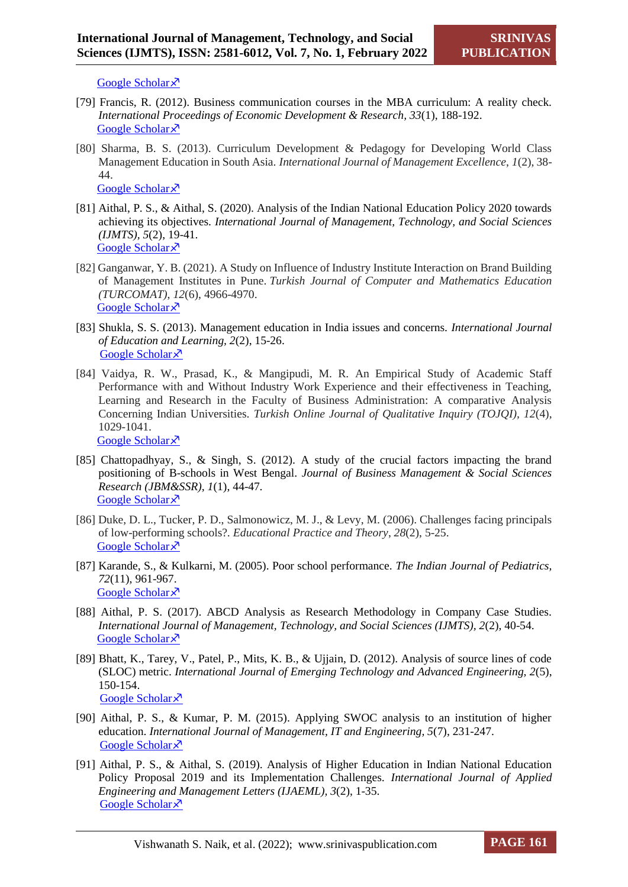[Google Scholar](https://scholar.google.com/scholar?hl=en&as_sdt=0%2C5&q=Pandey%2C+M.%2C+%26+Pandey%2C+P.+%282014%29.+Better+English+for+better+employment+opportunities.+International+journal+of+multidisciplinary+approach+and+studies%2C+1%284%29%2C+93-100.&btnG=)  $\lambda$ 

- [79] Francis, R. (2012). Business communication courses in the MBA curriculum: A reality check. *International Proceedings of Economic Development & Research, 33*(1), 188-192. [Google Scholar](https://scholar.google.com/scholar?hl=en&as_sdt=0%2C5&q=Francis%2C+R.+%282012%29.+Business+communication+courses+in+the+MBA+curriculum%3A+A+reality+check.+International+Proceedings+of+Economic+Development+%26+Research%2C+33%281%29%2C+188-192.&btnG=)<sup> $\lambda$ </sup>
- [80] Sharma, B. S. (2013). Curriculum Development & Pedagogy for Developing World Class Management Education in South Asia. *International Journal of Management Excellence*, *1*(2), 38- 44. [Google Scholar](https://scholar.google.com/scholar?hl=en&as_sdt=0%2C5&q=Sharma%2C+B.+S.+%282013%29.+Curriculum+Development+%26+Pedagogy+for+Developing+World+Class+Management+Education+in+South+Asia.+International+Journal+of+Management+Excellence%2C+1%282%29%2C+38-44.&btnG=) ×
- [81] Aithal, P. S., & Aithal, S. (2020). Analysis of the Indian National Education Policy 2020 towards achieving its objectives. *International Journal of Management, Technology, and Social Sciences (IJMTS), 5*(2), 19-41. [Google Scholar](https://scholar.google.com/scholar?hl=en&as_sdt=0%2C5&q=%27%27Analysis+of+the+Indian+National+Education+Policy+2020+towards+achieving+its+objectives.+International+Journal+of+Management%2C+Technology%2C+and+Social+Sciences+%28IJMTS%29%2C+5%282%29%2C+19-41%27%27.&btnG=) ×
	- [82] Ganganwar, Y. B. (2021). A Study on Influence of Industry Institute Interaction on Brand Building of Management Institutes in Pune. *Turkish Journal of Computer and Mathematics Education (TURCOMAT)*, *12*(6), 4966-4970. [Google Scholar](https://scholar.google.com/scholar?hl=en&as_sdt=0%2C5&q=Ganganwar%2C+Y.+B.+%282021%29.+A+Study+on+Influence+of+Industry+Institute+Interaction+on+Brand+Building+of+Management+Institutes+in+Pune.+Turkish+Journal+of+Computer+and+Mathematics+Education+%28TURCOMAT%29%2C+12%286%29%2C+4966-4970.&btnG=) ×
	- [83] Shukla, S. S. (2013). Management education in India issues and concerns. *International Journal of Education and Learning, 2*(2), 15-26. [Google Scholar](https://scholar.google.com/scholar?hl=en&as_sdt=0%2C5&q=Shukla%2C+S.+S.+%282013%29.+Management+education+in+India+issues+and+concerns.+International+Journal+of+Education+and+Learning%2C+2%282%29%2C+15-26.&btnG=) ×
	- [84] Vaidya, R. W., Prasad, K., & Mangipudi, M. R. An Empirical Study of Academic Staff Performance with and Without Industry Work Experience and their effectiveness in Teaching, Learning and Research in the Faculty of Business Administration: A comparative Analysis Concerning Indian Universities. *Turkish Online Journal of Qualitative Inquiry (TOJQI), 12*(4), 1029-1041. [Google Scholar](https://scholar.google.com/scholar?hl=en&as_sdt=0%2C5&q=Vaidya%2C+R.+W.%2C+Prasad%2C+K.%2C+%26+Mangipudi%C2%BA%2C+M.+R.+An+Empirical+Study+of+Academic+Staff+Performance+with+and+Without+Industry+Work+Experience+and+their+effectiveness+in+Teaching%2C+Learning+and+Research+in+the+Faculty+of+Business+Administration%3A+A+comparative+Analysis+Concerning+Indian+Universities.+Turkish+Online+Journal+of+Qualitative+Inquiry+%28TOJQI%29%2C+12%284%29%2C+1029-1041++&btnG=)  $\lambda$
	- [85] Chattopadhyay, S., & Singh, S. (2012). A study of the crucial factors impacting the brand positioning of B-schools in West Bengal. *Journal of Business Management & Social Sciences Research (JBM&SSR), 1*(1), 44-47*.* [Google Scholar](https://scholar.google.com/scholar?hl=en&as_sdt=0%2C5&q=A+Study+of+the+Crucial+Factors+Impacting+the+Brand+Positioning+of+B-Schools+in+West+Bengal&btnG=) ×
	- [86] Duke, D. L., Tucker, P. D., Salmonowicz, M. J., & Levy, M. (2006). Challenges facing principals of low-performing schools?. *Educational Practice and Theory*, *28*(2), 5-25. [Google Scholar](https://scholar.google.com/scholar?hl=en&as_sdt=0%2C5&q=Duke%2C+D.+L.%2C+Tucker%2C+P.+D.%2C+Salmonowicz%2C+M.+J.%2C+%26+Levy%2C+M.+%282006%29.+Challenges+facing+principals+of+low-performing+schools%3F.+Educational+Practice+and+Theory%2C+28%282%29%2C+5-25.&btnG=) ×
	- [87] Karande, S., & Kulkarni, M. (2005). Poor school performance. *The Indian Journal of Pediatrics, 72*(11), 961-967. [Google Scholar](https://scholar.google.com/scholar?hl=en&as_sdt=0%2C5&q=Poor+school+performance+karande&btnG=) ×
	- [88] Aithal, P. S. (2017). ABCD Analysis as Research Methodology in Company Case Studies. *International Journal of Management, Technology, and Social Sciences (IJMTS), 2*(2), 40-54. [Google Scholar](https://scholar.google.com/scholar?hl=en&as_sdt=0%2C5&q=Aithal%2C+P.+S.+%282017%29.+ABCD+Analysis+as+Research+Methodology+in+Company+Case+Studies.+International+Journal+of+Management%2C+Technology%2C+and+Social+Sciences+%28IJMTS%29%2C+2%282%29%2C+40-54.&btnG=) ×
	- [89] Bhatt, K., Tarey, V., Patel, P., Mits, K. B., & Ujjain, D. (2012). Analysis of source lines of code (SLOC) metric. *International Journal of Emerging Technology and Advanced Engineering, 2*(5), 150-154. [Google Scholar](https://scholar.google.com/scholar?hl=en&as_sdt=0%2C5&q=Bhatt%2C+K.%2C+Tarey%2C+V.%2C+Patel%2C+P.%2C+Mits%2C+K.+B.%2C+%26+Ujjain%2C+D.+%282012%29.+Analysis+of+source+lines+of+code+%28SLOC%29+metric.+International+Journal+of+Emerging+Technology+and+Advanced+Engineering%2C+2%285%29%2C+150-154&btnG=)<sup> $\lambda$ </sup>
	- [90] Aithal, P. S., & Kumar, P. M. (2015). Applying SWOC analysis to an institution of higher education. *International Journal of Management, IT and Engineering, 5*(7), 231-247. [Google Scholar](https://scholar.google.com/scholar?hl=en&as_sdt=0%2C5&q=Aithal%2C+P.+S.%2C+%26+Kumar%2C+P.+M.+%282015%29.+Applying+SWOC+analysis+to+an+institution+of+higher+education.+International+Journal+of+Management%2C+IT+and+Engineering%2C+5%287%29%2C+231-247.&btnG=) ×
	- [91] Aithal, P. S., & Aithal, S. (2019). Analysis of Higher Education in Indian National Education Policy Proposal 2019 and its Implementation Challenges*. International Journal of Applied Engineering and Management Letters (IJAEML), 3*(2), 1-35. [Google Scholar](https://scholar.google.com/scholar?hl=en&as_sdt=0%2C5&q=Aithal%2C+P.+S.%2C+%26+Aithal%2C+S.+%282019%29.+Analysis+of+Higher+Education+in+Indian+National+Education+Policy+Proposal+2019+and+its+Implementation+Challenges.+International+Journal+of+Applied+Engineering+and+Management+Letters+%28IJAEML%29%2C+3%282%29%2C+1-35.&btnG=) ×